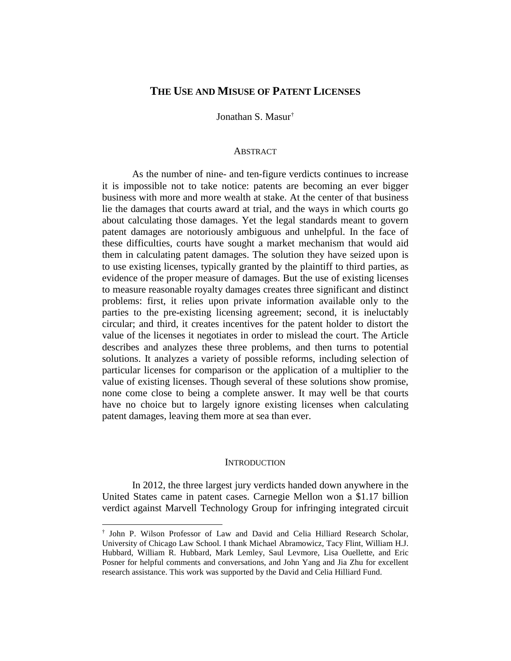# **THE USE AND MISUSE OF PATENT LICENSES**

Jonathan S. Masur[†](#page-0-0)

### **ABSTRACT**

As the number of nine- and ten-figure verdicts continues to increase it is impossible not to take notice: patents are becoming an ever bigger business with more and more wealth at stake. At the center of that business lie the damages that courts award at trial, and the ways in which courts go about calculating those damages. Yet the legal standards meant to govern patent damages are notoriously ambiguous and unhelpful. In the face of these difficulties, courts have sought a market mechanism that would aid them in calculating patent damages. The solution they have seized upon is to use existing licenses, typically granted by the plaintiff to third parties, as evidence of the proper measure of damages. But the use of existing licenses to measure reasonable royalty damages creates three significant and distinct problems: first, it relies upon private information available only to the parties to the pre-existing licensing agreement; second, it is ineluctably circular; and third, it creates incentives for the patent holder to distort the value of the licenses it negotiates in order to mislead the court. The Article describes and analyzes these three problems, and then turns to potential solutions. It analyzes a variety of possible reforms, including selection of particular licenses for comparison or the application of a multiplier to the value of existing licenses. Though several of these solutions show promise, none come close to being a complete answer. It may well be that courts have no choice but to largely ignore existing licenses when calculating patent damages, leaving them more at sea than ever.

### **INTRODUCTION**

In 2012, the three largest jury verdicts handed down anywhere in the United States came in patent cases. Carnegie Mellon won a \$1.17 billion verdict against Marvell Technology Group for infringing integrated circuit

<span id="page-0-0"></span> <sup>†</sup> John P. Wilson Professor of Law and David and Celia Hilliard Research Scholar, University of Chicago Law School. I thank Michael Abramowicz, Tacy Flint, William H.J. Hubbard, William R. Hubbard, Mark Lemley, Saul Levmore, Lisa Ouellette, and Eric Posner for helpful comments and conversations, and John Yang and Jia Zhu for excellent research assistance. This work was supported by the David and Celia Hilliard Fund.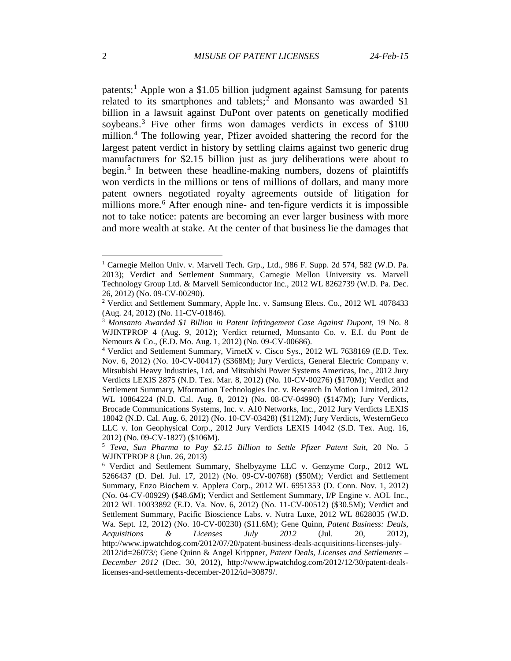patents;[1](#page-1-0) Apple won a \$1.05 billion judgment against Samsung for patents related to its smartphones and tablets; $\frac{2}{3}$  $\frac{2}{3}$  $\frac{2}{3}$  and Monsanto was awarded \$1 billion in a lawsuit against DuPont over patents on genetically modified soybeans.<sup>[3](#page-1-2)</sup> Five other firms won damages verdicts in excess of \$100 million.<sup>[4](#page-1-3)</sup> The following year, Pfizer avoided shattering the record for the largest patent verdict in history by settling claims against two generic drug manufacturers for \$2.15 billion just as jury deliberations were about to begin.<sup>[5](#page-1-4)</sup> In between these headline-making numbers, dozens of plaintiffs won verdicts in the millions or tens of millions of dollars, and many more patent owners negotiated royalty agreements outside of litigation for millions more.<sup>[6](#page-1-5)</sup> After enough nine- and ten-figure verdicts it is impossible not to take notice: patents are becoming an ever larger business with more and more wealth at stake. At the center of that business lie the damages that

<span id="page-1-0"></span> <sup>1</sup> Carnegie Mellon Univ. v. Marvell Tech. Grp., Ltd., 986 F. Supp. 2d 574, 582 (W.D. Pa. 2013); Verdict and Settlement Summary, Carnegie Mellon University vs. Marvell Technology Group Ltd. & Marvell Semiconductor Inc., 2012 WL 8262739 (W.D. Pa. Dec. 26, 2012) (No. 09-CV-00290).

<span id="page-1-1"></span><sup>2</sup> Verdict and Settlement Summary, Apple Inc. v. Samsung Elecs. Co., 2012 WL 4078433 (Aug. 24, 2012) (No. 11-CV-01846).

<span id="page-1-2"></span><sup>3</sup> *Monsanto Awarded \$1 Billion in Patent Infringement Case Against Dupont*, 19 No. 8 WJINTPROP 4 (Aug. 9, 2012); Verdict returned, Monsanto Co. v. E.I. du Pont de Nemours & Co., (E.D. Mo. Aug. 1, 2012) (No. 09-CV-00686).

<span id="page-1-3"></span><sup>4</sup> Verdict and Settlement Summary, VirnetX v. Cisco Sys., 2012 WL 7638169 (E.D. Tex. Nov. 6, 2012) (No. 10-CV-00417) (\$368M); Jury Verdicts, General Electric Company v. Mitsubishi Heavy Industries, Ltd. and Mitsubishi Power Systems Americas, Inc., 2012 Jury Verdicts LEXIS 2875 (N.D. Tex. Mar. 8, 2012) (No. 10-CV-00276) (\$170M); Verdict and Settlement Summary, Mformation Technologies Inc. v. Research In Motion Limited, 2012 WL 10864224 (N.D. Cal. Aug. 8, 2012) (No. 08-CV-04990) (\$147M); Jury Verdicts, Brocade Communications Systems, Inc. v. A10 Networks, Inc., 2012 Jury Verdicts LEXIS 18042 (N.D. Cal. Aug. 6, 2012) (No. 10-CV-03428) (\$112M); Jury Verdicts, WesternGeco LLC v. Ion Geophysical Corp., 2012 Jury Verdicts LEXIS 14042 (S.D. Tex. Aug. 16, 2012) (No. 09-CV-1827) (\$106M).

<span id="page-1-4"></span><sup>5</sup> *Teva, Sun Pharma to Pay \$2.15 Billion to Settle Pfizer Patent Suit*, 20 No. 5 WJINTPROP 8 (Jun. 26, 2013)

<span id="page-1-5"></span><sup>6</sup> Verdict and Settlement Summary, Shelbyzyme LLC v. Genzyme Corp., 2012 WL 5266437 (D. Del. Jul. 17, 2012) (No. 09-CV-00768) (\$50M); Verdict and Settlement Summary, Enzo Biochem v. Applera Corp., 2012 WL 6951353 (D. Conn. Nov. 1, 2012) (No. 04-CV-00929) (\$48.6M); Verdict and Settlement Summary, I/P Engine v. AOL Inc., 2012 WL 10033892 (E.D. Va. Nov. 6, 2012) (No. 11-CV-00512) (\$30.5M); Verdict and Settlement Summary, Pacific Bioscience Labs. v. Nutra Luxe, 2012 WL 8628035 (W.D. Wa. Sept. 12, 2012) (No. 10-CV-00230) (\$11.6M); Gene Quinn, *Patent Business: Deals, Acquisitions & Licenses July 2012* (Jul. 20, 2012), http://www.ipwatchdog.com/2012/07/20/patent-business-deals-acquisitions-licenses-july-2012/id=26073/; Gene Quinn & Angel Krippner, *Patent Deals, Licenses and Settlements – December 2012* (Dec. 30, 2012), http://www.ipwatchdog.com/2012/12/30/patent-dealslicenses-and-settlements-december-2012/id=30879/.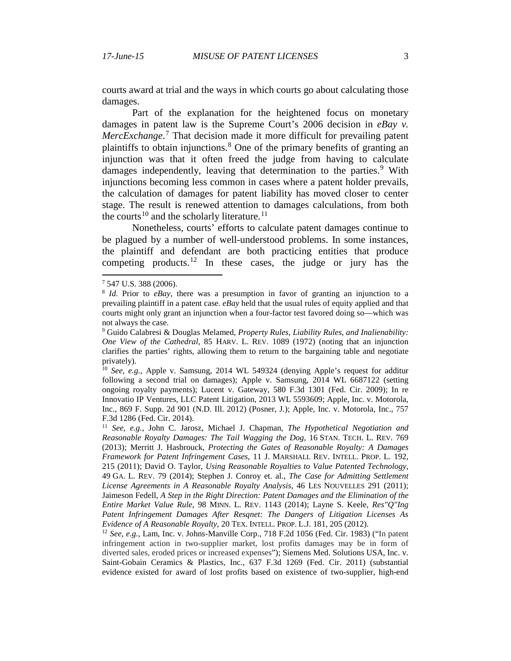courts award at trial and the ways in which courts go about calculating those damages.

Part of the explanation for the heightened focus on monetary damages in patent law is the Supreme Court's 2006 decision in *eBay v. MercExchange*. [7](#page-2-0) That decision made it more difficult for prevailing patent plaintiffs to obtain injunctions. [8](#page-2-1) One of the primary benefits of granting an injunction was that it often freed the judge from having to calculate damages independently, leaving that determination to the parties.<sup>[9](#page-2-2)</sup> With injunctions becoming less common in cases where a patent holder prevails, the calculation of damages for patent liability has moved closer to center stage. The result is renewed attention to damages calculations, from both the courts<sup>[10](#page-2-3)</sup> and the scholarly literature.<sup>[11](#page-2-4)</sup>

<span id="page-2-6"></span>Nonetheless, courts' efforts to calculate patent damages continue to be plagued by a number of well-understood problems. In some instances, the plaintiff and defendant are both practicing entities that produce competing products.<sup>[12](#page-2-5)</sup> In these cases, the judge or jury has the

<span id="page-2-0"></span> <sup>7</sup> 547 U.S. 388 (2006).

<span id="page-2-1"></span><sup>8</sup> *Id.* Prior to *eBay*, there was a presumption in favor of granting an injunction to a prevailing plaintiff in a patent case. *eBay* held that the usual rules of equity applied and that courts might only grant an injunction when a four-factor test favored doing so—which was not always the case.

<span id="page-2-2"></span><sup>9</sup> Guido Calabresi & Douglas Melamed, *Property Rules, Liability Rules, and Inalienability: One View of the Cathedral*, 85 HARV. L. REV. 1089 (1972) (noting that an injunction clarifies the parties' rights, allowing them to return to the bargaining table and negotiate privately).

<span id="page-2-3"></span><sup>10</sup> *See, e.g.*, Apple v. Samsung, 2014 WL 549324 (denying Apple's request for additur following a second trial on damages); Apple v. Samsung, 2014 WL 6687122 (setting ongoing royalty payments); Lucent v. Gateway, 580 F.3d 1301 (Fed. Cir. 2009); In re Innovatio IP Ventures, LLC Patent Litigation, 2013 WL 5593609; Apple, Inc. v. Motorola, Inc., 869 F. Supp. 2d 901 (N.D. Ill. 2012) (Posner, J.); Apple, Inc. v. Motorola, Inc., 757 F.3d 1286 (Fed. Cir. 2014).

<span id="page-2-4"></span><sup>11</sup> *See, e.g.*, John C. Jarosz, Michael J. Chapman, *The Hypothetical Negotiation and Reasonable Royalty Damages: The Tail Wagging the Dog*, 16 STAN. TECH. L. REV. 769 (2013); Merritt J. Hasbrouck, *Protecting the Gates of Reasonable Royalty: A Damages Framework for Patent Infringement Cases*, 11 J. MARSHALL REV. INTELL. PROP. L. 192, 215 (2011); David O. Taylor, *Using Reasonable Royalties to Value Patented Technology*, 49 GA. L. REV. 79 (2014); Stephen J. Conroy et. al., *The Case for Admitting Settlement License Agreements in A Reasonable Royalty Analysis*, 46 LES NOUVELLES 291 (2011); Jaimeson Fedell, *A Step in the Right Direction: Patent Damages and the Elimination of the Entire Market Value Rule*, 98 MINN. L. REV. 1143 (2014); Layne S. Keele, *Res"Q"Ing Patent Infringement Damages After Resqnet: The Dangers of Litigation Licenses As Evidence of A Reasonable Royalty*, 20 TEX. INTELL. PROP. L.J. 181, 205 (2012).

<span id="page-2-5"></span><sup>12</sup> *See, e.g.*, Lam, Inc. v. Johns-Manville Corp., 718 F.2d 1056 (Fed. Cir. 1983) ("In patent infringement action in two-supplier market, lost profits damages may be in form of diverted sales, eroded prices or increased expenses"); Siemens Med. Solutions USA, Inc. v. Saint-Gobain Ceramics & Plastics, Inc., 637 F.3d 1269 (Fed. Cir. 2011) (substantial evidence existed for award of lost profits based on existence of two-supplier, high-end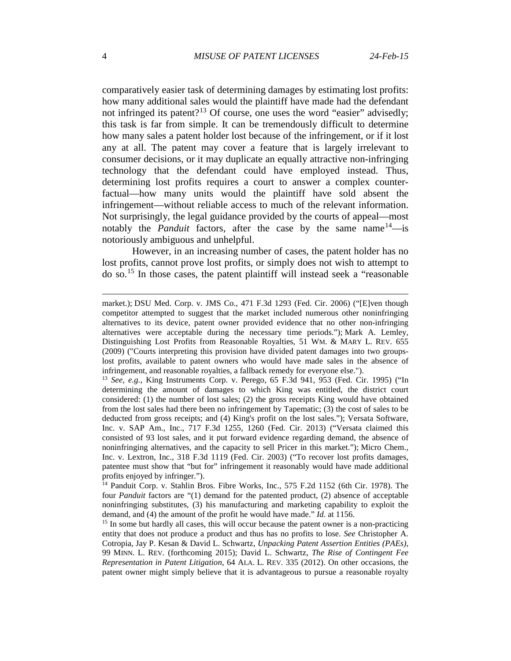comparatively easier task of determining damages by estimating lost profits: how many additional sales would the plaintiff have made had the defendant not infringed its patent?<sup>[13](#page-3-0)</sup> Of course, one uses the word "easier" advisedly; this task is far from simple. It can be tremendously difficult to determine how many sales a patent holder lost because of the infringement, or if it lost any at all. The patent may cover a feature that is largely irrelevant to consumer decisions, or it may duplicate an equally attractive non-infringing technology that the defendant could have employed instead. Thus, determining lost profits requires a court to answer a complex counterfactual—how many units would the plaintiff have sold absent the infringement—without reliable access to much of the relevant information. Not surprisingly, the legal guidance provided by the courts of appeal—most notably the *Panduit* factors, after the case by the same name  $14$ —is notoriously ambiguous and unhelpful.

However, in an increasing number of cases, the patent holder has no lost profits, cannot prove lost profits, or simply does not wish to attempt to do so.[15](#page-3-2) In those cases, the patent plaintiff will instead seek a "reasonable

 $\overline{a}$ 

market.); DSU Med. Corp. v. JMS Co., 471 F.3d 1293 (Fed. Cir. 2006) ("[E]ven though competitor attempted to suggest that the market included numerous other noninfringing alternatives to its device, patent owner provided evidence that no other non-infringing alternatives were acceptable during the necessary time periods."); Mark A. Lemley, Distinguishing Lost Profits from Reasonable Royalties, 51 WM. & MARY L. REV. 655 (2009) ("Courts interpreting this provision have divided patent damages into two groupslost profits, available to patent owners who would have made sales in the absence of infringement, and reasonable royalties, a fallback remedy for everyone else.").

<span id="page-3-0"></span><sup>13</sup> *See, e.g.*, King Instruments Corp. v. Perego, 65 F.3d 941, 953 (Fed. Cir. 1995) ("In determining the amount of damages to which King was entitled, the district court considered: (1) the number of lost sales; (2) the gross receipts King would have obtained from the lost sales had there been no infringement by Tapematic; (3) the cost of sales to be deducted from gross receipts; and (4) King's profit on the lost sales."); Versata Software, Inc. v. SAP Am., Inc., 717 F.3d 1255, 1260 (Fed. Cir. 2013) ("Versata claimed this consisted of 93 lost sales, and it put forward evidence regarding demand, the absence of noninfringing alternatives, and the capacity to sell Pricer in this market."); Micro Chem., Inc. v. Lextron, Inc., 318 F.3d 1119 (Fed. Cir. 2003) ("To recover lost profits damages, patentee must show that "but for" infringement it reasonably would have made additional profits enjoyed by infringer.").

<span id="page-3-1"></span><sup>&</sup>lt;sup>14</sup> Panduit Corp. v. Stahlin Bros. Fibre Works, Inc., 575 F.2d 1152 (6th Cir. 1978). The four *Panduit* factors are "(1) demand for the patented product, (2) absence of acceptable noninfringing substitutes, (3) his manufacturing and marketing capability to exploit the demand, and (4) the amount of the profit he would have made." *Id.* at 1156.

<span id="page-3-2"></span><sup>&</sup>lt;sup>15</sup> In some but hardly all cases, this will occur because the patent owner is a non-practicing entity that does not produce a product and thus has no profits to lose. *See* Christopher A. Cotropia, Jay P. Kesan & David L. Schwartz, *Unpacking Patent Assertion Entities (PAEs)*, 99 MINN. L. REV. (forthcoming 2015); David L. Schwartz, *The Rise of Contingent Fee Representation in Patent Litigation*, 64 ALA. L. REV. 335 (2012). On other occasions, the patent owner might simply believe that it is advantageous to pursue a reasonable royalty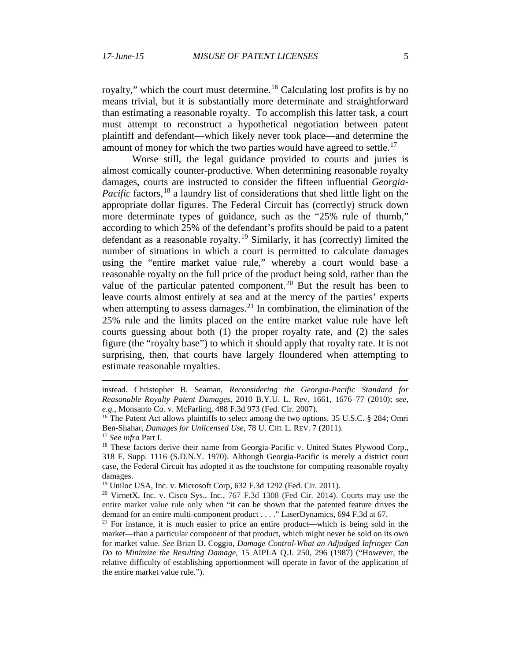royalty," which the court must determine.<sup>[16](#page-4-0)</sup> Calculating lost profits is by no means trivial, but it is substantially more determinate and straightforward than estimating a reasonable royalty. To accomplish this latter task, a court must attempt to reconstruct a hypothetical negotiation between patent plaintiff and defendant—which likely never took place—and determine the amount of money for which the two parties would have agreed to settle.<sup>[17](#page-4-1)</sup>

Worse still, the legal guidance provided to courts and juries is almost comically counter-productive. When determining reasonable royalty damages, courts are instructed to consider the fifteen influential *Georgia-Pacific* factors,<sup>[18](#page-4-2)</sup> a laundry list of considerations that shed little light on the appropriate dollar figures. The Federal Circuit has (correctly) struck down more determinate types of guidance, such as the "25% rule of thumb," according to which 25% of the defendant's profits should be paid to a patent defendant as a reasonable royalty.<sup>[19](#page-4-3)</sup> Similarly, it has (correctly) limited the number of situations in which a court is permitted to calculate damages using the "entire market value rule," whereby a court would base a reasonable royalty on the full price of the product being sold, rather than the value of the particular patented component.<sup>[20](#page-4-4)</sup> But the result has been to leave courts almost entirely at sea and at the mercy of the parties' experts when attempting to assess damages.<sup>[21](#page-4-5)</sup> In combination, the elimination of the 25% rule and the limits placed on the entire market value rule have left courts guessing about both (1) the proper royalty rate, and (2) the sales figure (the "royalty base") to which it should apply that royalty rate. It is not surprising, then, that courts have largely floundered when attempting to estimate reasonable royalties.

 $\overline{a}$ 

instead. Christopher B. Seaman, *Reconsidering the Georgia-Pacific Standard for Reasonable Royalty Patent Damages*, 2010 B.Y.U. L. Rev. 1661, 1676–77 (2010); *see, e.g.*, Monsanto Co. v. McFarling, 488 F.3d 973 (Fed. Cir. 2007).

<span id="page-4-0"></span><sup>&</sup>lt;sup>16</sup> The Patent Act allows plaintiffs to select among the two options. 35 U.S.C. § 284; Omri Ben-Shahar, *Damages for Unlicensed Use*, 78 U. CHI. L. REV. 7 (2011).

<span id="page-4-1"></span><sup>17</sup> *See infra* Part I.

<span id="page-4-2"></span><sup>&</sup>lt;sup>18</sup> These factors derive their name from Georgia-Pacific v. United States Plywood Corp., 318 F. Supp. 1116 (S.D.N.Y. 1970). Although Georgia-Pacific is merely a district court case, the Federal Circuit has adopted it as the touchstone for computing reasonable royalty damages.

<span id="page-4-3"></span><sup>19</sup> Uniloc USA, Inc. v. Microsoft Corp, 632 F.3d 1292 (Fed. Cir. 2011).

<span id="page-4-4"></span><sup>20</sup> VirnetX, Inc. v. Cisco Sys., Inc., 767 F.3d 1308 (Fed Cir. 2014). Courts may use the entire market value rule only when "it can be shown that the patented feature drives the demand for an entire multi-component product . . . ." LaserDynamics, 694 F.3d at 67.

<span id="page-4-5"></span> $21$  For instance, it is much easier to price an entire product—which is being sold in the market—than a particular component of that product, which might never be sold on its own for market value. *See* Brian D. Coggio, *Damage Control-What an Adjudged Infringer Can Do to Minimize the Resulting Damage*, 15 AIPLA Q.J. 250, 296 (1987) ("However, the relative difficulty of establishing apportionment will operate in favor of the application of the entire market value rule.").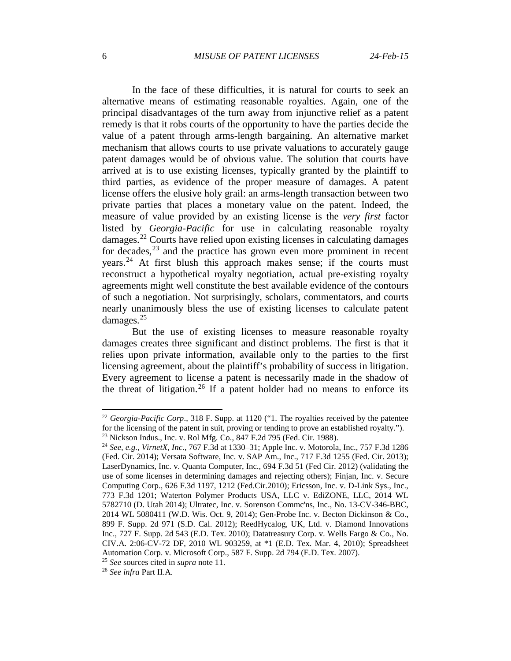In the face of these difficulties, it is natural for courts to seek an alternative means of estimating reasonable royalties. Again, one of the principal disadvantages of the turn away from injunctive relief as a patent remedy is that it robs courts of the opportunity to have the parties decide the value of a patent through arms-length bargaining. An alternative market mechanism that allows courts to use private valuations to accurately gauge patent damages would be of obvious value. The solution that courts have arrived at is to use existing licenses, typically granted by the plaintiff to third parties, as evidence of the proper measure of damages. A patent license offers the elusive holy grail: an arms-length transaction between two private parties that places a monetary value on the patent. Indeed, the measure of value provided by an existing license is the *very first* factor listed by *Georgia-Pacific* for use in calculating reasonable royalty damages.[22](#page-5-0) Courts have relied upon existing licenses in calculating damages for decades, $^{23}$  $^{23}$  $^{23}$  and the practice has grown even more prominent in recent years.[24](#page-5-2) At first blush this approach makes sense; if the courts must reconstruct a hypothetical royalty negotiation, actual pre-existing royalty agreements might well constitute the best available evidence of the contours of such a negotiation. Not surprisingly, scholars, commentators, and courts nearly unanimously bless the use of existing licenses to calculate patent damages. $25$ 

But the use of existing licenses to measure reasonable royalty damages creates three significant and distinct problems. The first is that it relies upon private information, available only to the parties to the first licensing agreement, about the plaintiff's probability of success in litigation. Every agreement to license a patent is necessarily made in the shadow of the threat of litigation.<sup>[26](#page-5-4)</sup> If a patent holder had no means to enforce its

<sup>25</sup> *See* sources cited in *supra* note [11.](#page-2-6)

<span id="page-5-4"></span><span id="page-5-3"></span><sup>26</sup> *See infra* Part II.A.

<span id="page-5-0"></span><sup>&</sup>lt;sup>22</sup> *Georgia-Pacific Corp.*, 318 F. Supp. at 1120 ("1. The royalties received by the patentee for the licensing of the patent in suit, proving or tending to prove an established royalty."). <sup>23</sup> Nickson Indus., Inc. v. Rol Mfg. Co., 847 F.2d 795 (Fed. Cir. 1988).

<span id="page-5-2"></span><span id="page-5-1"></span><sup>24</sup> *See, e.g.*, *VirnetX, Inc.*, 767 F.3d at 1330–31; Apple Inc. v. Motorola, Inc., 757 F.3d 1286 (Fed. Cir. 2014); Versata Software, Inc. v. SAP Am., Inc., 717 F.3d 1255 (Fed. Cir. 2013); LaserDynamics, Inc. v. Quanta Computer, Inc., 694 F.3d 51 (Fed Cir. 2012) (validating the use of some licenses in determining damages and rejecting others); Finjan, Inc. v. Secure Computing Corp., 626 F.3d 1197, 1212 (Fed.Cir.2010); Ericsson, Inc. v. D-Link Sys., Inc., 773 F.3d 1201; Waterton Polymer Products USA, LLC v. EdiZONE, LLC, 2014 WL 5782710 (D. Utah 2014); Ultratec, Inc. v. Sorenson Commc'ns, Inc., No. 13-CV-346-BBC, 2014 WL 5080411 (W.D. Wis. Oct. 9, 2014); Gen-Probe Inc. v. Becton Dickinson & Co., 899 F. Supp. 2d 971 (S.D. Cal. 2012); ReedHycalog, UK, Ltd. v. Diamond Innovations Inc., 727 F. Supp. 2d 543 (E.D. Tex. 2010); Datatreasury Corp. v. Wells Fargo & Co., No. CIV.A. 2:06-CV-72 DF, 2010 WL 903259, at \*1 (E.D. Tex. Mar. 4, 2010); Spreadsheet Automation Corp. v. Microsoft Corp., 587 F. Supp. 2d 794 (E.D. Tex. 2007).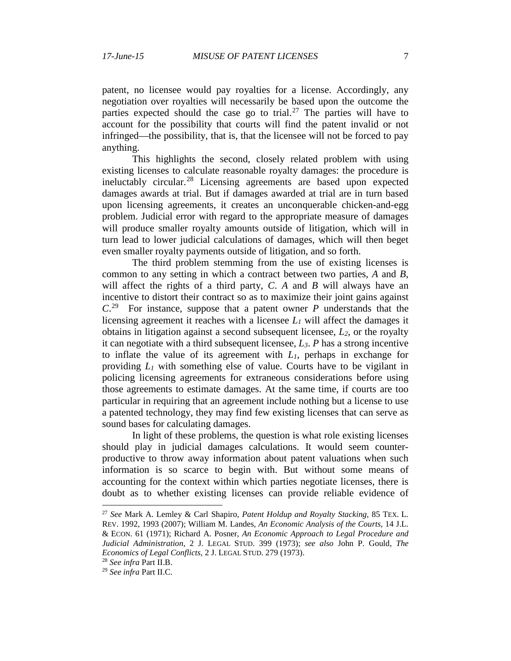<span id="page-6-3"></span>patent, no licensee would pay royalties for a license. Accordingly, any negotiation over royalties will necessarily be based upon the outcome the parties expected should the case go to trial.<sup>[27](#page-6-0)</sup> The parties will have to account for the possibility that courts will find the patent invalid or not infringed—the possibility, that is, that the licensee will not be forced to pay anything.

This highlights the second, closely related problem with using existing licenses to calculate reasonable royalty damages: the procedure is ineluctably circular.<sup>[28](#page-6-1)</sup> Licensing agreements are based upon expected damages awards at trial. But if damages awarded at trial are in turn based upon licensing agreements, it creates an unconquerable chicken-and-egg problem. Judicial error with regard to the appropriate measure of damages will produce smaller royalty amounts outside of litigation, which will in turn lead to lower judicial calculations of damages, which will then beget even smaller royalty payments outside of litigation, and so forth.

The third problem stemming from the use of existing licenses is common to any setting in which a contract between two parties, *A* and *B*, will affect the rights of a third party, *C*. *A* and *B* will always have an incentive to distort their contract so as to maximize their joint gains against *C*. [29](#page-6-2) For instance, suppose that a patent owner *P* understands that the licensing agreement it reaches with a licensee *L1* will affect the damages it obtains in litigation against a second subsequent licensee,  $L_2$ , or the royalty it can negotiate with a third subsequent licensee, *L3*. *P* has a strong incentive to inflate the value of its agreement with *L1*, perhaps in exchange for providing *L1* with something else of value. Courts have to be vigilant in policing licensing agreements for extraneous considerations before using those agreements to estimate damages. At the same time, if courts are too particular in requiring that an agreement include nothing but a license to use a patented technology, they may find few existing licenses that can serve as sound bases for calculating damages.

In light of these problems, the question is what role existing licenses should play in judicial damages calculations. It would seem counterproductive to throw away information about patent valuations when such information is so scarce to begin with. But without some means of accounting for the context within which parties negotiate licenses, there is doubt as to whether existing licenses can provide reliable evidence of

<span id="page-6-0"></span> <sup>27</sup> *See* Mark A. Lemley & Carl Shapiro, *Patent Holdup and Royalty Stacking*, 85 TEX. L. REV. 1992, 1993 (2007); William M. Landes, *An Economic Analysis of the Courts*, 14 J.L. & ECON. 61 (1971); Richard A. Posner, *An Economic Approach to Legal Procedure and Judicial Administration*, 2 J. LEGAL STUD. 399 (1973); *see also* John P. Gould, *The Economics of Legal Conflicts*, 2 J. LEGAL STUD. 279 (1973).

<span id="page-6-1"></span><sup>28</sup> *See infra* Part II.B.

<span id="page-6-2"></span><sup>29</sup> *See infra* Part II.C.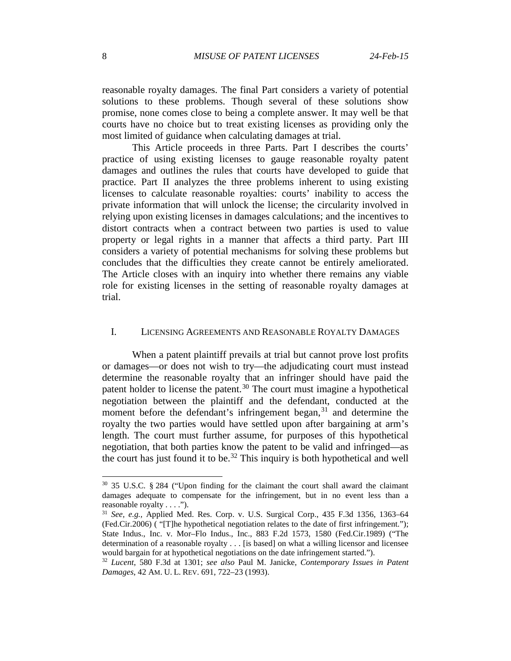reasonable royalty damages. The final Part considers a variety of potential solutions to these problems. Though several of these solutions show promise, none comes close to being a complete answer. It may well be that courts have no choice but to treat existing licenses as providing only the most limited of guidance when calculating damages at trial.

This Article proceeds in three Parts. Part I describes the courts' practice of using existing licenses to gauge reasonable royalty patent damages and outlines the rules that courts have developed to guide that practice. Part II analyzes the three problems inherent to using existing licenses to calculate reasonable royalties: courts' inability to access the private information that will unlock the license; the circularity involved in relying upon existing licenses in damages calculations; and the incentives to distort contracts when a contract between two parties is used to value property or legal rights in a manner that affects a third party. Part III considers a variety of potential mechanisms for solving these problems but concludes that the difficulties they create cannot be entirely ameliorated. The Article closes with an inquiry into whether there remains any viable role for existing licenses in the setting of reasonable royalty damages at trial.

## I. LICENSING AGREEMENTS AND REASONABLE ROYALTY DAMAGES

When a patent plaintiff prevails at trial but cannot prove lost profits or damages—or does not wish to try—the adjudicating court must instead determine the reasonable royalty that an infringer should have paid the patent holder to license the patent.<sup>[30](#page-7-0)</sup> The court must imagine a hypothetical negotiation between the plaintiff and the defendant, conducted at the moment before the defendant's infringement began,<sup>[31](#page-7-1)</sup> and determine the royalty the two parties would have settled upon after bargaining at arm's length. The court must further assume, for purposes of this hypothetical negotiation, that both parties know the patent to be valid and infringed—as the court has just found it to be.<sup>[32](#page-7-2)</sup> This inquiry is both hypothetical and well

<span id="page-7-0"></span> <sup>30</sup> 35 U.S.C. § 284 ("Upon finding for the claimant the court shall award the claimant damages adequate to compensate for the infringement, but in no event less than a reasonable royalty . . . .").

<span id="page-7-1"></span><sup>31</sup> *See, e.g.,* Applied Med. Res. Corp. v. U.S. Surgical Corp., [435 F.3d 1356, 1363–64](http://www.westlaw.com/Find/Default.wl?rs=dfa1.0&vr=2.0&DB=506&FindType=Y&ReferencePositionType=S&SerialNum=2008254351&ReferencePosition=1363)  [\(Fed.Cir.2006\)](http://www.westlaw.com/Find/Default.wl?rs=dfa1.0&vr=2.0&DB=506&FindType=Y&ReferencePositionType=S&SerialNum=2008254351&ReferencePosition=1363) ( "[T]he hypothetical negotiation relates to the date of first infringement."); [State Indus., Inc. v. Mor–Flo Indus., Inc.,](http://www.westlaw.com/Find/Default.wl?rs=dfa1.0&vr=2.0&DB=350&FindType=Y&ReferencePositionType=S&SerialNum=1989126086&ReferencePosition=1580) 883 F.2d 1573, 1580 (Fed.Cir.1989) ("The determination of a reasonable royalty . . . [is based] on what a willing licensor and licensee would bargain for at hypothetical negotiations on the date infringement started.").

<span id="page-7-2"></span><sup>32</sup> *Lucent*, 580 F.3d at 1301; *see also* Paul M. Janicke, *Contemporary Issues in Patent Damages*, 42 AM. U. L. REV. 691, 722–23 (1993).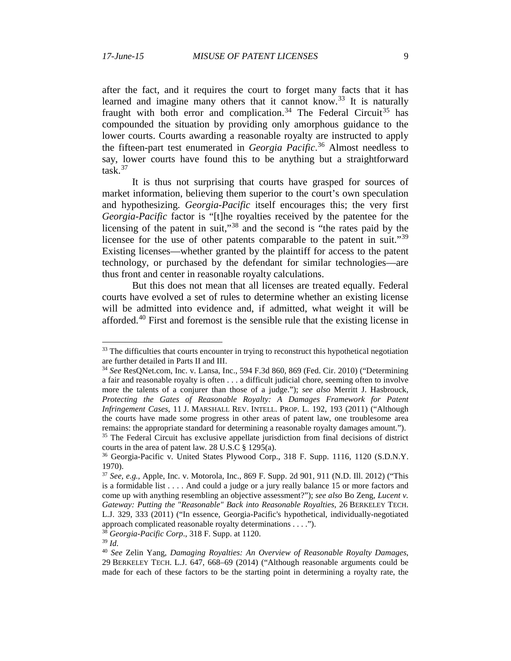after the fact, and it requires the court to forget many facts that it has learned and imagine many others that it cannot know.<sup>[33](#page-8-0)</sup> It is naturally fraught with both error and complication.<sup>[34](#page-8-1)</sup> The Federal Circuit<sup>[35](#page-8-2)</sup> has compounded the situation by providing only amorphous guidance to the lower courts. Courts awarding a reasonable royalty are instructed to apply the fifteen-part test enumerated in *Georgia Pacific*. [36](#page-8-3) Almost needless to say, lower courts have found this to be anything but a straightforward task.[37](#page-8-4)

<span id="page-8-8"></span>It is thus not surprising that courts have grasped for sources of market information, believing them superior to the court's own speculation and hypothesizing. *Georgia-Pacific* itself encourages this; the very first *Georgia-Pacific* factor is "[t]he royalties received by the patentee for the licensing of the patent in suit,"[38](#page-8-5) and the second is "the rates paid by the licensee for the use of other patents comparable to the patent in suit."<sup>[39](#page-8-6)</sup> Existing licenses—whether granted by the plaintiff for access to the patent technology, or purchased by the defendant for similar technologies—are thus front and center in reasonable royalty calculations.

But this does not mean that all licenses are treated equally. Federal courts have evolved a set of rules to determine whether an existing license will be admitted into evidence and, if admitted, what weight it will be afforded.<sup>[40](#page-8-7)</sup> First and foremost is the sensible rule that the existing license in

<span id="page-8-9"></span><span id="page-8-0"></span><sup>&</sup>lt;sup>33</sup> The difficulties that courts encounter in trying to reconstruct this hypothetical negotiation are further detailed in Parts II and III.

<span id="page-8-1"></span><sup>34</sup> *See* ResQNet.com, Inc. v. Lansa, Inc., 594 F.3d 860, 869 (Fed. Cir. 2010) ("Determining a fair and reasonable royalty is often . . . a difficult judicial chore, seeming often to involve more the talents of a conjurer than those of a judge."); *see also* Merritt J. Hasbrouck, Protecting the Gates of Reasonable Royalty: A Damages Framework for Patent *Infringement Cases*, 11 J. MARSHALL REV. INTELL. PROP. L. 192, 193 (2011) ("Although the courts have made some progress in other areas of patent law, one troublesome area remains: the appropriate standard for determining a reasonable royalty damages amount."). <sup>35</sup> The Federal Circuit has exclusive appellate jurisdiction from final decisions of district

<span id="page-8-3"></span><span id="page-8-2"></span>courts in the area of patent law. 28 U.S.C § 1295(a).

<sup>36</sup> Georgia-Pacific v. United States Plywood Corp., 318 F. Supp. 1116, 1120 (S.D.N.Y. 1970).

<span id="page-8-4"></span><sup>37</sup> *See, e.g.*, Apple, Inc. v. Motorola, Inc., 869 F. Supp. 2d 901, 911 (N.D. Ill. 2012) ("This is a formidable list . . . . And could a judge or a jury really balance 15 or more factors and come up with anything resembling an objective assessment?"); *see also* Bo Zeng, *Lucent v. Gateway: Putting the "Reasonable" Back into Reasonable Royalties*, 26 BERKELEY TECH. L.J. 329, 333 (2011) ("In essence, Georgia-Pacific's hypothetical, individually-negotiated approach complicated reasonable royalty determinations . . . .").

<sup>38</sup> *Georgia-Pacific Corp*., 318 F. Supp. at 1120.

<span id="page-8-6"></span><span id="page-8-5"></span><sup>39</sup> *Id.*

<span id="page-8-7"></span><sup>40</sup> *See* Zelin Yang, *Damaging Royalties: An Overview of Reasonable Royalty Damages*, 29 BERKELEY TECH. L.J. 647, 668–69 (2014) ("Although reasonable arguments could be made for each of these factors to be the starting point in determining a royalty rate, the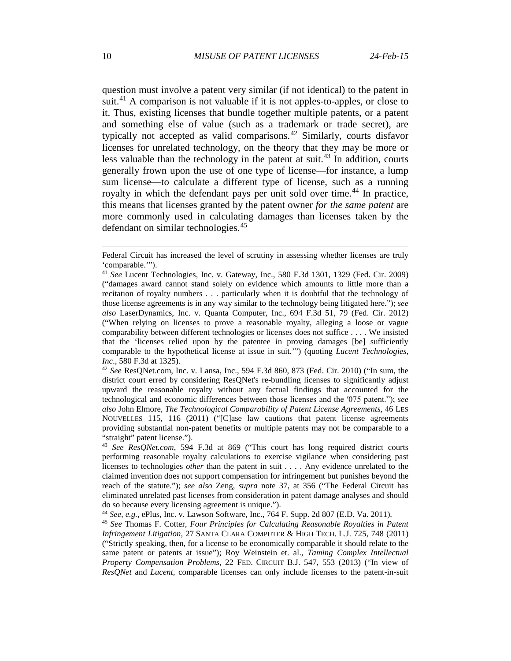question must involve a patent very similar (if not identical) to the patent in suit.<sup>[41](#page-9-0)</sup> A comparison is not valuable if it is not apples-to-apples, or close to it. Thus, existing licenses that bundle together multiple patents, or a patent and something else of value (such as a trademark or trade secret), are typically not accepted as valid comparisons. [42](#page-9-1) Similarly, courts disfavor licenses for unrelated technology, on the theory that they may be more or less valuable than the technology in the patent at suit.<sup>[43](#page-9-2)</sup> In addition, courts generally frown upon the use of one type of license—for instance, a lump sum license—to calculate a different type of license, such as a running royalty in which the defendant pays per unit sold over time.<sup>[44](#page-9-3)</sup> In practice, this means that licenses granted by the patent owner *for the same patent* are more commonly used in calculating damages than licenses taken by the defendant on similar technologies.<sup>[45](#page-9-4)</sup>

<span id="page-9-3"></span><sup>44</sup> *See, e.g.*, ePlus, Inc. v. Lawson Software, Inc., 764 F. Supp. 2d 807 (E.D. Va. 2011).

<span id="page-9-5"></span> $\overline{a}$ 

Federal Circuit has increased the level of scrutiny in assessing whether licenses are truly 'comparable.'").

<span id="page-9-0"></span><sup>41</sup> *See* Lucent Technologies, Inc. v. Gateway, Inc., 580 F.3d 1301, 1329 (Fed. Cir. 2009) ("damages award cannot stand solely on evidence which amounts to little more than a recitation of royalty numbers . . . particularly when it is doubtful that the technology of those license agreements is in any way similar to the technology being litigated here."); *see also* LaserDynamics, Inc. v. Quanta Computer, Inc., 694 F.3d 51, 79 (Fed. Cir. 2012) ("When relying on licenses to prove a reasonable royalty, alleging a loose or vague comparability between different technologies or licenses does not suffice . . . . We insisted that the 'licenses relied upon by the patentee in proving damages [be] sufficiently comparable to the hypothetical license at issue in suit.'") (quoting *Lucent Technologies, Inc*., 580 F.3d at 1325).

<span id="page-9-1"></span><sup>42</sup> *See* ResQNet.com, Inc. v. Lansa, Inc., 594 F.3d 860, 873 (Fed. Cir. 2010) ("In sum, the district court erred by considering ResQNet's re-bundling licenses to significantly adjust upward the reasonable royalty without any factual findings that accounted for the technological and economic differences between those licenses and the ′075 patent."); *see also* John Elmore, *The Technological Comparability of Patent License Agreements*, 46 LES NOUVELLES 115, 116 (2011) ("[C]ase law cautions that patent license agreements providing substantial non-patent benefits or multiple patents may not be comparable to a "straight" patent license.").

<span id="page-9-2"></span><sup>43</sup> *See ResQNet.com*, 594 F.3d at 869 ("This court has long required district courts performing reasonable royalty calculations to exercise vigilance when considering past licenses to technologies *other* than the patent in suit . . . . Any evidence unrelated to the claimed invention does not support compensation for infringement but punishes beyond the reach of the statute."); *see also* Zeng, *supra* note [37,](#page-8-8) at 356 ("The Federal Circuit has eliminated unrelated past licenses from consideration in patent damage analyses and should do so because every licensing agreement is unique.").

<span id="page-9-4"></span><sup>45</sup> *See* Thomas F. Cotter, *Four Principles for Calculating Reasonable Royalties in Patent Infringement Litigation*, 27 SANTA CLARA COMPUTER & HIGH TECH. L.J. 725, 748 (2011) ("Strictly speaking, then, for a license to be economically comparable it should relate to the same patent or patents at issue"); Roy Weinstein et. al., *Taming Complex Intellectual Property Compensation Problems*, 22 FED. CIRCUIT B.J. 547, 553 (2013) ("In view of *ResQNet* and *Lucent*, comparable licenses can only include licenses to the patent-in-suit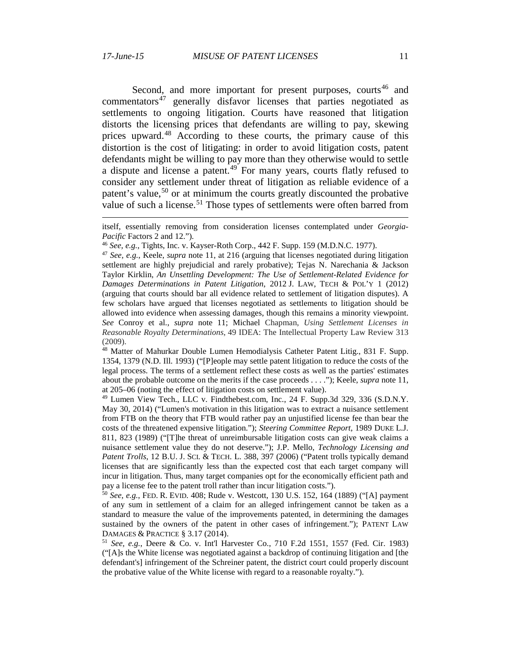$\overline{a}$ 

<span id="page-10-7"></span><span id="page-10-6"></span>Second, and more important for present purposes, courts<sup>[46](#page-10-0)</sup> and commentators<sup>[47](#page-10-1)</sup> generally disfavor licenses that parties negotiated as settlements to ongoing litigation. Courts have reasoned that litigation distorts the licensing prices that defendants are willing to pay, skewing prices upward.<sup>[48](#page-10-2)</sup> According to these courts, the primary cause of this distortion is the cost of litigating: in order to avoid litigation costs, patent defendants might be willing to pay more than they otherwise would to settle a dispute and license a patent.<sup>[49](#page-10-3)</sup> For many years, courts flatly refused to consider any settlement under threat of litigation as reliable evidence of a patent's value,<sup>[50](#page-10-4)</sup> or at minimum the courts greatly discounted the probative value of such a license.<sup>[51](#page-10-5)</sup> Those types of settlements were often barred from

itself, essentially removing from consideration licenses contemplated under *Georgia-Pacific* Factors 2 and 12.").

<sup>46</sup> *See, e.g.*, Tights, Inc. v. Kayser-Roth Corp., 442 F. Supp. 159 (M.D.N.C. 1977).

<span id="page-10-1"></span><span id="page-10-0"></span><sup>47</sup> *See, e.g.*, Keele, *supra* note [11,](#page-2-6) at 216 (arguing that licenses negotiated during litigation settlement are highly prejudicial and rarely probative); Tejas N. Narechania & Jackson Taylor Kirklin, *An Unsettling Development: The Use of Settlement-Related Evidence for Damages Determinations in Patent Litigation*, 2012 J. LAW, TECH & POL'Y 1 (2012) (arguing that courts should bar all evidence related to settlement of litigation disputes). A few scholars have argued that licenses negotiated as settlements to litigation should be allowed into evidence when assessing damages, though this remains a minority viewpoint. *See* Conroy et al., *supra* note 11; Michael Chapman, *Using Settlement Licenses in Reasonable Royalty Determinations*, 49 IDEA: The Intellectual Property Law Review 313 (2009).

<span id="page-10-2"></span><sup>48</sup> Matter of Mahurkar Double Lumen Hemodialysis Catheter Patent Litig., 831 F. Supp. 1354, 1379 (N.D. Ill. 1993) ("[P]eople may settle patent litigation to reduce the costs of the legal process. The terms of a settlement reflect these costs as well as the parties' estimates about the probable outcome on the merits if the case proceeds . . . ."); Keele, *supra* note [11,](#page-2-6) at 205–06 (noting the effect of litigation costs on settlement value).

<span id="page-10-3"></span><sup>49</sup> Lumen View Tech., LLC v. Findthebest.com, Inc., 24 F. Supp.3d 329, 336 (S.D.N.Y. May 30, 2014) ("Lumen's motivation in this litigation was to extract a nuisance settlement from FTB on the theory that FTB would rather pay an unjustified license fee than bear the costs of the threatened expensive litigation."); *Steering Committee Report*, 1989 DUKE L.J. 811, 823 (1989) ("[T]he threat of unreimbursable litigation costs can give weak claims a nuisance settlement value they do not deserve."); J.P. Mello, *Technology Licensing and Patent Trolls*, 12 B.U. J. SCI. & TECH. L. 388, 397 (2006) ("Patent trolls typically demand licenses that are significantly less than the expected cost that each target company will incur in litigation. Thus, many target companies opt for the economically efficient path and pay a license fee to the patent troll rather than incur litigation costs.").

<span id="page-10-4"></span><sup>50</sup> *See, e.g.*, FED. R. EVID. 408; Rude v. Westcott, 130 U.S. 152, 164 (1889) ("[A] payment of any sum in settlement of a claim for an alleged infringement cannot be taken as a standard to measure the value of the improvements patented, in determining the damages sustained by the owners of the patent in other cases of infringement."); PATENT LAW DAMAGES & PRACTICE § 3.17 (2014).

<span id="page-10-5"></span><sup>51</sup> *See, e.g.*, Deere & Co. v. Int'l Harvester Co., [710 F.2d 1551, 1557 \(Fed. Cir. 1983\)](http://www.westlaw.com/Find/Default.wl?rs=dfa1.0&vr=2.0&DB=350&FindType=Y&ReferencePositionType=S&SerialNum=1983130424&ReferencePosition=1557) ("[A]s the White license was negotiated against a backdrop of continuing litigation and [the defendant's] infringement of the Schreiner patent, the district court could properly discount the probative value of the White license with regard to a reasonable royalty.").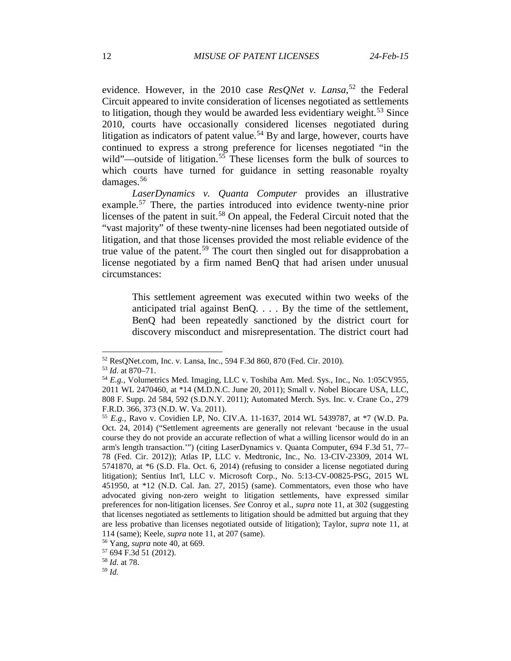evidence. However, in the 2010 case *ResQNet v. Lansa*, [52](#page-11-0) the Federal Circuit appeared to invite consideration of licenses negotiated as settlements to litigation, though they would be awarded less evidentiary weight. $53$  Since 2010, courts have occasionally considered licenses negotiated during litigation as indicators of patent value.<sup>[54](#page-11-2)</sup> By and large, however, courts have continued to express a strong preference for licenses negotiated "in the wild"—outside of litigation.<sup>[55](#page-11-3)</sup> These licenses form the bulk of sources to which courts have turned for guidance in setting reasonable royalty damages.[56](#page-11-4)

*LaserDynamics v. Quanta Computer* provides an illustrative example.<sup>[57](#page-11-5)</sup> There, the parties introduced into evidence twenty-nine prior licenses of the patent in suit.[58](#page-11-6) On appeal, the Federal Circuit noted that the "vast majority" of these twenty-nine licenses had been negotiated outside of litigation, and that those licenses provided the most reliable evidence of the true value of the patent.<sup>[59](#page-11-7)</sup> The court then singled out for disapprobation a license negotiated by a firm named BenQ that had arisen under unusual circumstances:

This settlement agreement was executed within two weeks of the anticipated trial against BenQ. . . . By the time of the settlement, BenQ had been repeatedly sanctioned by the district court for discovery misconduct and misrepresentation. The district court had

<span id="page-11-0"></span> <sup>52</sup> ResQNet.com, Inc. v. Lansa, Inc., 594 F.3d 860, 870 (Fed. Cir. 2010).

<sup>53</sup> *Id.* at 870–71.

<span id="page-11-2"></span><span id="page-11-1"></span><sup>54</sup> *E.g.*, Volumetrics Med. Imaging, LLC v. Toshiba Am. Med. Sys., Inc., No. 1:05CV955, 2011 WL 2470460, at \*14 (M.D.N.C. June 20, 2011); Small v. Nobel Biocare USA, LLC, 808 F. Supp. 2d 584, 592 (S.D.N.Y. 2011); Automated Merch. Sys. Inc. v. Crane Co., 279 F.R.D. 366, 373 (N.D. W. Va. 2011).

<span id="page-11-3"></span><sup>55</sup> *E.g.*, Ravo v. Covidien LP, No. CIV.A. 11-1637, 2014 WL 5439787, at \*7 (W.D. Pa. Oct. 24, 2014) ("Settlement agreements are generally not relevant 'because in the usual course they do not provide an accurate reflection of what a willing licensor would do in an arm's length transaction.'") (citing LaserDynamics v. Quanta Computer, 694 F.3d 51, 77– 78 (Fed. Cir. 2012)); Atlas IP, LLC v. Medtronic, Inc., No. 13-CIV-23309, 2014 WL 5741870, at \*6 (S.D. Fla. Oct. 6, 2014) (refusing to consider a license negotiated during litigation); Sentius Int'l, LLC v. Microsoft Corp., No. 5:13-CV-00825-PSG, 2015 WL 451950, at \*12 (N.D. Cal. Jan. 27, 2015) (same). Commentators, even those who have advocated giving non-zero weight to litigation settlements, have expressed similar preferences for non-litigation licenses. *See* Conroy et al., *supra* note [11,](#page-2-6) at 302 (suggesting that licenses negotiated as settlements to litigation should be admitted but arguing that they are less probative than licenses negotiated outside of litigation); Taylor, *supra* note [11,](#page-2-6) at 114 (same); Keele, *supra* not[e 11,](#page-2-6) at 207 (same).

<span id="page-11-5"></span><span id="page-11-4"></span><sup>56</sup> Yang, *supra* note [40,](#page-8-9) at 669. 57 694 F.3d 51 (2012).

<span id="page-11-6"></span><sup>58</sup> *Id.* at 78.

<span id="page-11-7"></span><sup>59</sup> *Id.*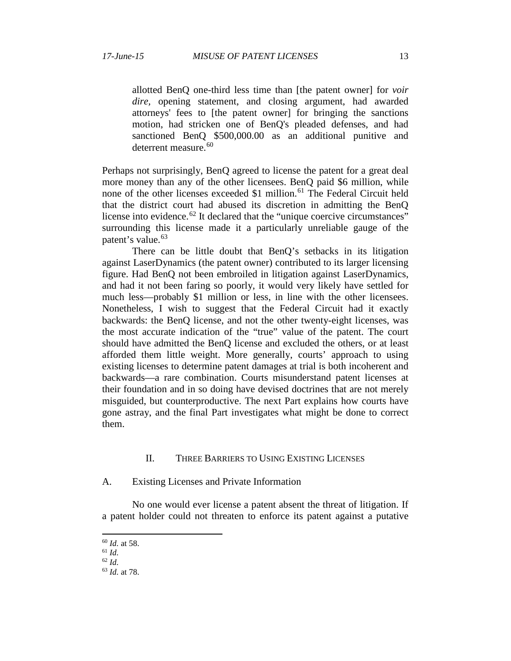allotted BenQ one-third less time than [the patent owner] for *voir dire,* opening statement, and closing argument, had awarded attorneys' fees to [the patent owner] for bringing the sanctions motion, had stricken one of BenQ's pleaded defenses, and had sanctioned BenO \$500,000.00 as an additional punitive and deterrent measure.<sup>[60](#page-12-0)</sup>

Perhaps not surprisingly, BenQ agreed to license the patent for a great deal more money than any of the other licensees. BenQ paid \$6 million, while none of the other licenses exceeded \$1 million.<sup>[61](#page-12-1)</sup> The Federal Circuit held that the district court had abused its discretion in admitting the BenQ license into evidence.<sup>[62](#page-12-2)</sup> It declared that the "unique coercive circumstances" surrounding this license made it a particularly unreliable gauge of the patent's value.<sup>[63](#page-12-3)</sup>

There can be little doubt that BenQ's setbacks in its litigation against LaserDynamics (the patent owner) contributed to its larger licensing figure. Had BenQ not been embroiled in litigation against LaserDynamics, and had it not been faring so poorly, it would very likely have settled for much less—probably \$1 million or less, in line with the other licensees. Nonetheless, I wish to suggest that the Federal Circuit had it exactly backwards: the BenQ license, and not the other twenty-eight licenses, was the most accurate indication of the "true" value of the patent. The court should have admitted the BenQ license and excluded the others, or at least afforded them little weight. More generally, courts' approach to using existing licenses to determine patent damages at trial is both incoherent and backwards—a rare combination. Courts misunderstand patent licenses at their foundation and in so doing have devised doctrines that are not merely misguided, but counterproductive. The next Part explains how courts have gone astray, and the final Part investigates what might be done to correct them.

## II. THREE BARRIERS TO USING EXISTING LICENSES

A. Existing Licenses and Private Information

No one would ever license a patent absent the threat of litigation. If a patent holder could not threaten to enforce its patent against a putative

 <sup>60</sup> *Id.* at 58.

<span id="page-12-0"></span><sup>61</sup> *Id.*

<span id="page-12-2"></span><span id="page-12-1"></span><sup>62</sup> *Id.* 

<span id="page-12-3"></span><sup>63</sup> *Id.* at 78.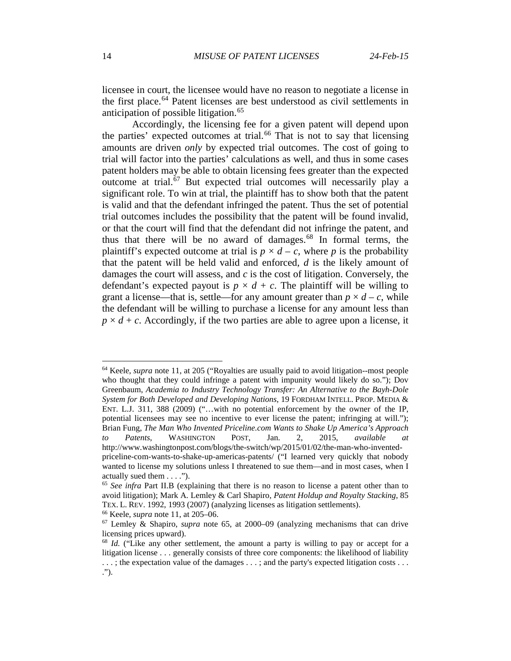licensee in court, the licensee would have no reason to negotiate a license in the first place.<sup>[64](#page-13-1)</sup> Patent licenses are best understood as civil settlements in anticipation of possible litigation.<sup>[65](#page-13-2)</sup>

<span id="page-13-0"></span>Accordingly, the licensing fee for a given patent will depend upon the parties' expected outcomes at trial.<sup>[66](#page-13-3)</sup> That is not to say that licensing amounts are driven *only* by expected trial outcomes. The cost of going to trial will factor into the parties' calculations as well, and thus in some cases patent holders may be able to obtain licensing fees greater than the expected outcome at trial.[67](#page-13-4) But expected trial outcomes will necessarily play a significant role. To win at trial, the plaintiff has to show both that the patent is valid and that the defendant infringed the patent. Thus the set of potential trial outcomes includes the possibility that the patent will be found invalid, or that the court will find that the defendant did not infringe the patent, and thus that there will be no award of damages.<sup>[68](#page-13-5)</sup> In formal terms, the plaintiff's expected outcome at trial is  $p \times d - c$ , where p is the probability that the patent will be held valid and enforced, *d* is the likely amount of damages the court will assess, and *c* is the cost of litigation. Conversely, the defendant's expected payout is  $p \times d + c$ . The plaintiff will be willing to grant a license—that is, settle—for any amount greater than  $p \times d - c$ , while the defendant will be willing to purchase a license for any amount less than  $p \times d + c$ . Accordingly, if the two parties are able to agree upon a license, it

<span id="page-13-1"></span> 64 Keele, *supra* note [11,](#page-2-6) at 205 ("Royalties are usually paid to avoid litigation--most people who thought that they could infringe a patent with impunity would likely do so."); Dov Greenbaum, *Academia to Industry Technology Transfer: An Alternative to the Bayh-Dole System for Both Developed and Developing Nations*, 19 FORDHAM INTELL. PROP. MEDIA & ENT. L.J. 311, 388 (2009) ("...with no potential enforcement by the owner of the IP, potential licensees may see no incentive to ever license the patent; infringing at will."); Brian Fung, *The Man Who Invented Priceline.com Wants to Shake Up America's Approach to Patents*, WASHINGTON POST, Jan. 2, 2015, *available at* http://www.washingtonpost.com/blogs/the-switch/wp/2015/01/02/the-man-who-invented-

priceline-com-wants-to-shake-up-americas-patents/ ("I learned very quickly that nobody wanted to license my solutions unless I threatened to sue them—and in most cases, when I actually sued them . . . .").

<span id="page-13-2"></span><sup>65</sup> *See infra* Part II.B (explaining that there is no reason to license a patent other than to avoid litigation); Mark A. Lemley & Carl Shapiro, *Patent Holdup and Royalty Stacking*, 85 TEX. L. REV. 1992, 1993 (2007) (analyzing licenses as litigation settlements).

<span id="page-13-3"></span><sup>66</sup> Keele, *supra* not[e 11,](#page-2-6) at 205–06.

<span id="page-13-4"></span><sup>67</sup> Lemley & Shapiro, *supra* note [65,](#page-13-0) at 2000–09 (analyzing mechanisms that can drive licensing prices upward).

<span id="page-13-5"></span><sup>&</sup>lt;sup>68</sup> *Id.* ("Like any other settlement, the amount a party is willing to pay or accept for a litigation license . . . generally consists of three core components: the likelihood of liability . . . ; the expectation value of the damages . . . ; and the party's expected litigation costs . . . .").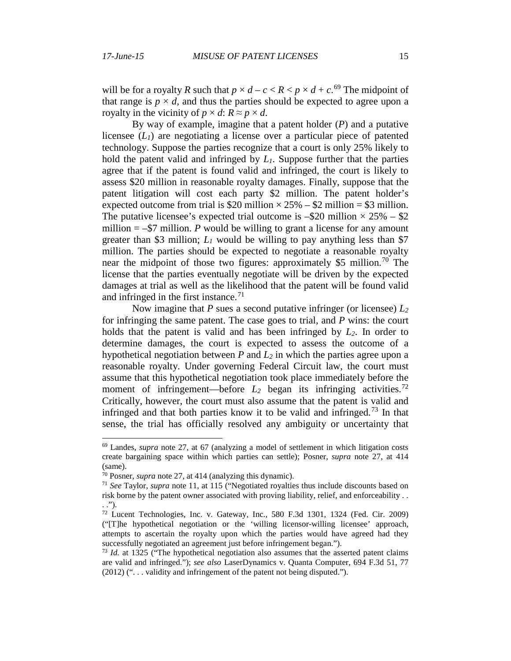will be for a royalty *R* such that  $p \times d - c < R < p \times d + c$ .<sup>[69](#page-14-0)</sup> The midpoint of that range is  $p \times d$ , and thus the parties should be expected to agree upon a royalty in the vicinity of  $p \times d$ :  $R \approx p \times d$ .

By way of example, imagine that a patent holder (*P*) and a putative licensee  $(L_1)$  are negotiating a license over a particular piece of patented technology. Suppose the parties recognize that a court is only 25% likely to hold the patent valid and infringed by *L1*. Suppose further that the parties agree that if the patent is found valid and infringed, the court is likely to assess \$20 million in reasonable royalty damages. Finally, suppose that the patent litigation will cost each party \$2 million. The patent holder's expected outcome from trial is \$20 million  $\times$  25% – \$2 million = \$3 million. The putative licensee's expected trial outcome is  $-\$20$  million  $\times 25\%$  – \$2 million  $=$  –\$7 million. *P* would be willing to grant a license for any amount greater than \$3 million;  $L_1$  would be willing to pay anything less than \$7 million. The parties should be expected to negotiate a reasonable royalty near the midpoint of those two figures: approximately \$5 million.<sup>[70](#page-14-1)</sup> The license that the parties eventually negotiate will be driven by the expected damages at trial as well as the likelihood that the patent will be found valid and infringed in the first instance.<sup>[71](#page-14-2)</sup>

Now imagine that *P* sues a second putative infringer (or licensee) *L2* for infringing the same patent. The case goes to trial, and *P* wins: the court holds that the patent is valid and has been infringed by *L2*. In order to determine damages, the court is expected to assess the outcome of a hypothetical negotiation between  $P$  and  $L_2$  in which the parties agree upon a reasonable royalty. Under governing Federal Circuit law, the court must assume that this hypothetical negotiation took place immediately before the moment of infringement—before  $L_2$  began its infringing activities.<sup>[72](#page-14-3)</sup> Critically, however, the court must also assume that the patent is valid and infringed and that both parties know it to be valid and infringed.<sup>[73](#page-14-4)</sup> In that sense, the trial has officially resolved any ambiguity or uncertainty that

<span id="page-14-0"></span> <sup>69</sup> Landes, *supra* note [27,](#page-6-3) at 67 (analyzing a model of settlement in which litigation costs create bargaining space within which parties can settle); Posner, *supra* note [27,](#page-6-3) at 414 (same).

<sup>70</sup> Posner, *supra* not[e 27,](#page-6-3) at 414 (analyzing this dynamic).

<span id="page-14-2"></span><span id="page-14-1"></span><sup>71</sup> *See* Taylor, *supra* note [11,](#page-2-6) at 115 ("Negotiated royalties thus include discounts based on risk borne by the patent owner associated with proving liability, relief, and enforceability . . . .").

<span id="page-14-3"></span><sup>72</sup> Lucent Technologies, Inc. v. Gateway, Inc., 580 F.3d 1301, 1324 (Fed. Cir. 2009) ("[T]he hypothetical negotiation or the 'willing licensor-willing licensee' approach, attempts to ascertain the royalty upon which the parties would have agreed had they successfully negotiated an agreement just before infringement began.").

<span id="page-14-4"></span><sup>73</sup> *Id.* at 1325 ("The hypothetical negotiation also assumes that the asserted patent claims are valid and infringed."); *see also* LaserDynamics v. Quanta Computer, 694 F.3d 51, 77 (2012) (". . . validity and infringement of the patent not being disputed.").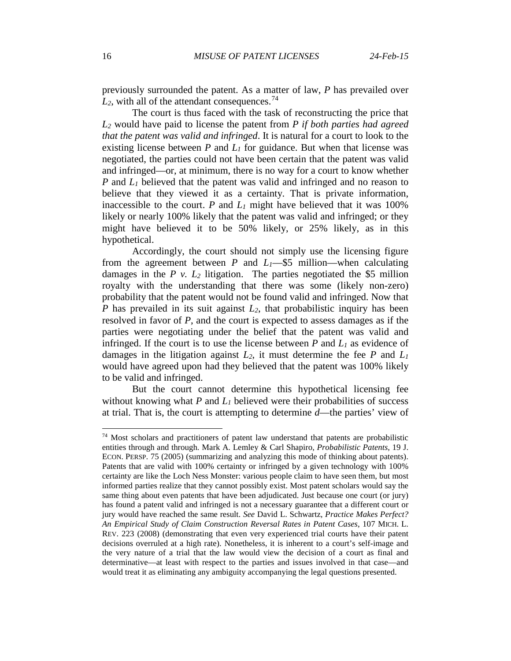previously surrounded the patent. As a matter of law, *P* has prevailed over  $L_2$ , with all of the attendant consequences.<sup>[74](#page-15-0)</sup>

The court is thus faced with the task of reconstructing the price that *L2* would have paid to license the patent from *P if both parties had agreed that the patent was valid and infringed*. It is natural for a court to look to the existing license between  $P$  and  $L_1$  for guidance. But when that license was negotiated, the parties could not have been certain that the patent was valid and infringed—or, at minimum, there is no way for a court to know whether *P* and *L1* believed that the patent was valid and infringed and no reason to believe that they viewed it as a certainty. That is private information, inaccessible to the court.  $P$  and  $L_1$  might have believed that it was 100% likely or nearly 100% likely that the patent was valid and infringed; or they might have believed it to be 50% likely, or 25% likely, as in this hypothetical.

Accordingly, the court should not simply use the licensing figure from the agreement between  $P$  and  $L_1$ —\$5 million—when calculating damages in the  $P$   $v$ .  $L_2$  litigation. The parties negotiated the \$5 million royalty with the understanding that there was some (likely non-zero) probability that the patent would not be found valid and infringed. Now that *P* has prevailed in its suit against *L*<sub>2</sub>, that probabilistic inquiry has been resolved in favor of *P*, and the court is expected to assess damages as if the parties were negotiating under the belief that the patent was valid and infringed. If the court is to use the license between  $P$  and  $L_1$  as evidence of damages in the litigation against  $L_2$ , it must determine the fee  $P$  and  $L_1$ would have agreed upon had they believed that the patent was 100% likely to be valid and infringed.

But the court cannot determine this hypothetical licensing fee without knowing what  $P$  and  $L_1$  believed were their probabilities of success at trial. That is, the court is attempting to determine *d*—the parties' view of

<span id="page-15-0"></span> <sup>74</sup> Most scholars and practitioners of patent law understand that patents are probabilistic entities through and through. Mark A. Lemley & Carl Shapiro, *Probabilistic Patents*, 19 J. ECON. PERSP. 75 (2005) (summarizing and analyzing this mode of thinking about patents). Patents that are valid with 100% certainty or infringed by a given technology with 100% certainty are like the Loch Ness Monster: various people claim to have seen them, but most informed parties realize that they cannot possibly exist. Most patent scholars would say the same thing about even patents that have been adjudicated. Just because one court (or jury) has found a patent valid and infringed is not a necessary guarantee that a different court or jury would have reached the same result. *See* David L. Schwartz, *Practice Makes Perfect? An Empirical Study of Claim Construction Reversal Rates in Patent Cases*, 107 MICH. L. REV. 223 (2008) (demonstrating that even very experienced trial courts have their patent decisions overruled at a high rate). Nonetheless, it is inherent to a court's self-image and the very nature of a trial that the law would view the decision of a court as final and determinative—at least with respect to the parties and issues involved in that case—and would treat it as eliminating any ambiguity accompanying the legal questions presented.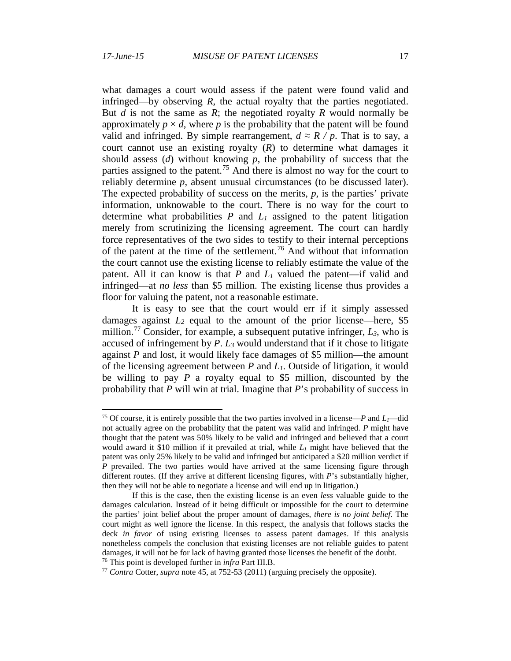what damages a court would assess if the patent were found valid and infringed—by observing *R*, the actual royalty that the parties negotiated. But *d* is not the same as *R*; the negotiated royalty *R* would normally be approximately  $p \times d$ , where p is the probability that the patent will be found valid and infringed. By simple rearrangement,  $d \approx R / p$ . That is to say, a court cannot use an existing royalty  $(R)$  to determine what damages it should assess (*d*) without knowing *p*, the probability of success that the parties assigned to the patent.<sup>[75](#page-16-0)</sup> And there is almost no way for the court to reliably determine *p*, absent unusual circumstances (to be discussed later). The expected probability of success on the merits, *p*, is the parties' private information, unknowable to the court. There is no way for the court to determine what probabilities  $P$  and  $L_1$  assigned to the patent litigation merely from scrutinizing the licensing agreement. The court can hardly force representatives of the two sides to testify to their internal perceptions of the patent at the time of the settlement.[76](#page-16-1) And without that information the court cannot use the existing license to reliably estimate the value of the patent. All it can know is that *P* and *L1* valued the patent—if valid and infringed—at *no less* than \$5 million. The existing license thus provides a floor for valuing the patent, not a reasonable estimate.

It is easy to see that the court would err if it simply assessed damages against  $L_2$  equal to the amount of the prior license—here, \$5 million.<sup>[77](#page-16-2)</sup> Consider, for example, a subsequent putative infringer,  $L_3$ , who is accused of infringement by *P*. *L3* would understand that if it chose to litigate against *P* and lost, it would likely face damages of \$5 million—the amount of the licensing agreement between *P* and *L1*. Outside of litigation, it would be willing to pay *P* a royalty equal to \$5 million, discounted by the probability that *P* will win at trial. Imagine that *P*'s probability of success in

<span id="page-16-0"></span><sup>&</sup>lt;sup>75</sup> Of course, it is entirely possible that the two parties involved in a license—*P* and  $L_1$ —did not actually agree on the probability that the patent was valid and infringed. *P* might have thought that the patent was 50% likely to be valid and infringed and believed that a court would award it \$10 million if it prevailed at trial, while *L1* might have believed that the patent was only 25% likely to be valid and infringed but anticipated a \$20 million verdict if *P* prevailed. The two parties would have arrived at the same licensing figure through different routes. (If they arrive at different licensing figures, with *P*'s substantially higher, then they will not be able to negotiate a license and will end up in litigation.)

If this is the case, then the existing license is an even *less* valuable guide to the damages calculation. Instead of it being difficult or impossible for the court to determine the parties' joint belief about the proper amount of damages, *there is no joint belief*. The court might as well ignore the license. In this respect, the analysis that follows stacks the deck *in favor* of using existing licenses to assess patent damages. If this analysis nonetheless compels the conclusion that existing licenses are not reliable guides to patent damages, it will not be for lack of having granted those licenses the benefit of the doubt. <sup>76</sup> This point is developed further in *infra* Part III.B.

<span id="page-16-2"></span><span id="page-16-1"></span><sup>77</sup> *Contra* Cotter, *supra* note [45,](#page-9-5) at 752-53 (2011) (arguing precisely the opposite).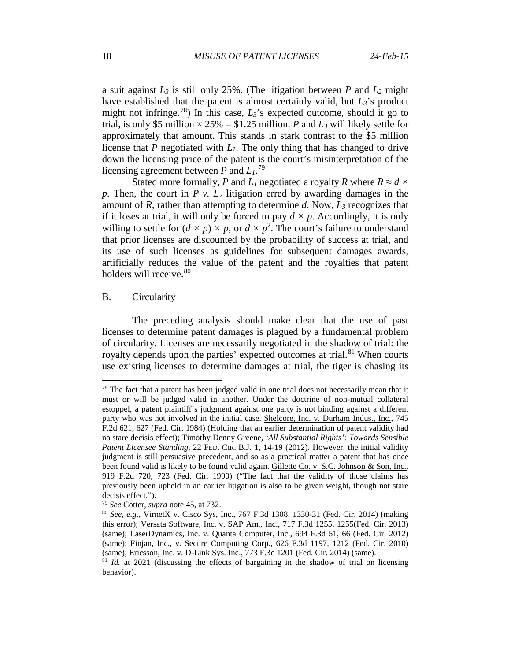<span id="page-17-4"></span>a suit against *L3* is still only 25%. (The litigation between *P* and *L2* might have established that the patent is almost certainly valid, but  $L_3$ 's product might not infringe.<sup>[78](#page-17-0)</sup>) In this case,  $L_3$ 's expected outcome, should it go to trial, is only \$5 million  $\times$  25% = \$1.25 million. *P* and *L*<sub>3</sub> will likely settle for approximately that amount. This stands in stark contrast to the \$5 million license that *P* negotiated with *L1*. The only thing that has changed to drive down the licensing price of the patent is the court's misinterpretation of the licensing agreement between *P* and *L1*. [79](#page-17-1)

Stated more formally, *P* and *L<sub>1</sub>* negotiated a royalty *R* where  $R \approx d \times d$ *p*. Then, the court in *P v. L2* litigation erred by awarding damages in the amount of *R*, rather than attempting to determine *d*. Now, *L3* recognizes that if it loses at trial, it will only be forced to pay  $d \times p$ . Accordingly, it is only willing to settle for  $(d \times p) \times p$ , or  $d \times p^2$ . The court's failure to understand that prior licenses are discounted by the probability of success at trial, and its use of such licenses as guidelines for subsequent damages awards, artificially reduces the value of the patent and the royalties that patent holders will receive.<sup>[80](#page-17-2)</sup>

### B. Circularity

The preceding analysis should make clear that the use of past licenses to determine patent damages is plagued by a fundamental problem of circularity. Licenses are necessarily negotiated in the shadow of trial: the royalty depends upon the parties' expected outcomes at trial.<sup>[81](#page-17-3)</sup> When courts use existing licenses to determine damages at trial, the tiger is chasing its

<span id="page-17-0"></span> $78$  The fact that a patent has been judged valid in one trial does not necessarily mean that it must or will be judged valid in another. Under the doctrine of non-mutual collateral estoppel, a patent plaintiff's judgment against one party is not binding against a different party who was not involved in the initial case. Shelcore, Inc. v. Durham Indus., Inc., 745 F.2d 621, 627 (Fed. Cir. 1984) (Holding that an earlier determination of patent validity had no stare decisis effect); Timothy Denny Greene, *'All Substantial Rights': Towards Sensible Patent Licensee Standing*, 22 FED. CIR. B.J. 1, 14-19 (2012). However, the initial validity judgment is still persuasive precedent, and so as a practical matter a patent that has once been found valid is likely to be found valid again. Gillette Co. v. S.C. Johnson & Son, Inc., 919 F.2d 720, 723 (Fed. Cir. 1990) ("The fact that the validity of those claims has previously been upheld in an earlier litigation is also to be given weight, though not stare decisis effect.").

<sup>79</sup> *See* Cotter, *supra* note [45,](#page-9-5) at 732.

<span id="page-17-2"></span><span id="page-17-1"></span><sup>80</sup> *See, e.g.*, VirnetX v. Cisco Sys, Inc., 767 F.3d 1308, 1330-31 (Fed. Cir. 2014) (making this error); Versata Software, Inc. v. SAP Am., Inc., 717 F.3d 1255, 1255(Fed. Cir. 2013) (same); LaserDynamics, Inc. v. Quanta Computer, Inc., 694 F.3d 51, 66 (Fed. Cir. 2012) (same); Finjan, Inc., v. Secure Computing Corp., 626 F.3d 1197, 1212 (Fed. Cir. 2010) (same); Ericsson, Inc. v. D-Link Sys. Inc., 773 F.3d 1201 (Fed. Cir. 2014) (same).

<span id="page-17-3"></span><sup>81</sup> *Id.* at 2021 (discussing the effects of bargaining in the shadow of trial on licensing behavior).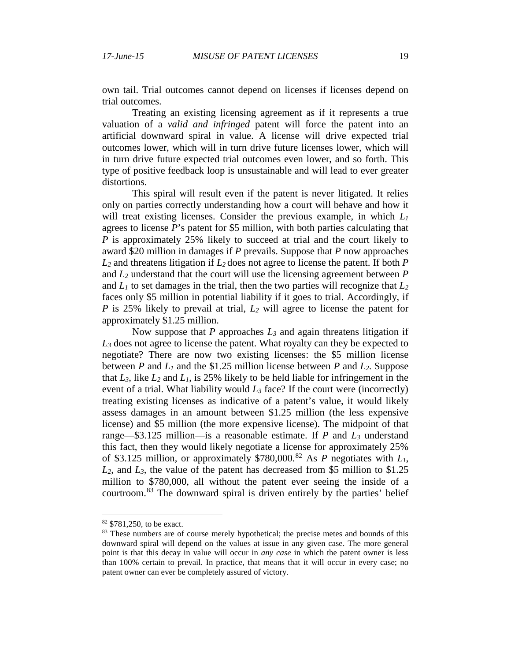own tail. Trial outcomes cannot depend on licenses if licenses depend on trial outcomes.

Treating an existing licensing agreement as if it represents a true valuation of a *valid and infringed* patent will force the patent into an artificial downward spiral in value. A license will drive expected trial outcomes lower, which will in turn drive future licenses lower, which will in turn drive future expected trial outcomes even lower, and so forth. This type of positive feedback loop is unsustainable and will lead to ever greater distortions.

This spiral will result even if the patent is never litigated. It relies only on parties correctly understanding how a court will behave and how it will treat existing licenses. Consider the previous example, in which *L1* agrees to license *P*'s patent for \$5 million, with both parties calculating that *P* is approximately 25% likely to succeed at trial and the court likely to award \$20 million in damages if *P* prevails. Suppose that *P* now approaches *L2* and threatens litigation if *L2* does not agree to license the patent. If both *P*  and *L2* understand that the court will use the licensing agreement between *P* and  $L_1$  to set damages in the trial, then the two parties will recognize that  $L_2$ faces only \$5 million in potential liability if it goes to trial. Accordingly, if *P* is 25% likely to prevail at trial, *L2* will agree to license the patent for approximately \$1.25 million.

Now suppose that *P* approaches *L3* and again threatens litigation if *L3* does not agree to license the patent. What royalty can they be expected to negotiate? There are now two existing licenses: the \$5 million license between *P* and *L1* and the \$1.25 million license between *P* and *L2*. Suppose that  $L_3$ , like  $L_2$  and  $L_1$ , is 25% likely to be held liable for infringement in the event of a trial. What liability would  $L_3$  face? If the court were (incorrectly) treating existing licenses as indicative of a patent's value, it would likely assess damages in an amount between \$1.25 million (the less expensive license) and \$5 million (the more expensive license). The midpoint of that range—\$3.125 million—is a reasonable estimate. If *P* and *L3* understand this fact, then they would likely negotiate a license for approximately 25% of \$3.125 million, or approximately \$780,000. [82](#page-18-0) As *P* negotiates with *L1*,  $L_2$ , and  $L_3$ , the value of the patent has decreased from \$5 million to \$1.25 million to \$780,000, all without the patent ever seeing the inside of a courtroom.[83](#page-18-1) The downward spiral is driven entirely by the parties' belief

<span id="page-18-0"></span> <sup>82</sup> \$781,250, to be exact.

<span id="page-18-1"></span><sup>&</sup>lt;sup>83</sup> These numbers are of course merely hypothetical; the precise metes and bounds of this downward spiral will depend on the values at issue in any given case. The more general point is that this decay in value will occur in *any case* in which the patent owner is less than 100% certain to prevail. In practice, that means that it will occur in every case; no patent owner can ever be completely assured of victory.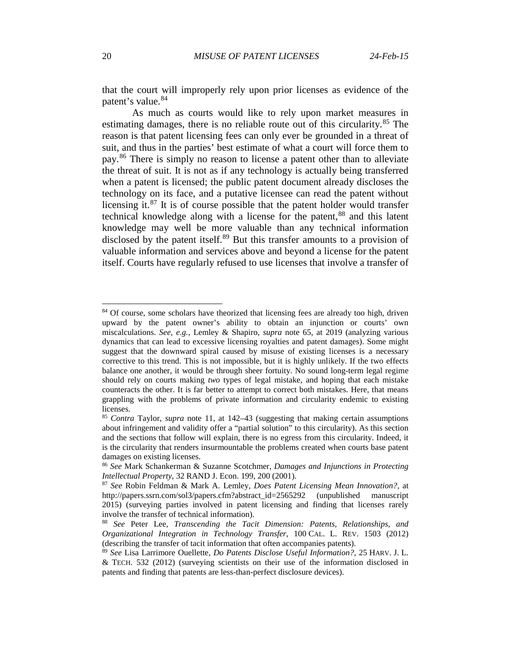that the court will improperly rely upon prior licenses as evidence of the patent's value.<sup>[84](#page-19-0)</sup>

As much as courts would like to rely upon market measures in estimating damages, there is no reliable route out of this circularity.<sup>[85](#page-19-1)</sup> The reason is that patent licensing fees can only ever be grounded in a threat of suit, and thus in the parties' best estimate of what a court will force them to pay.[86](#page-19-2) There is simply no reason to license a patent other than to alleviate the threat of suit. It is not as if any technology is actually being transferred when a patent is licensed; the public patent document already discloses the technology on its face, and a putative licensee can read the patent without licensing it. $87$  It is of course possible that the patent holder would transfer technical knowledge along with a license for the patent,<sup>[88](#page-19-4)</sup> and this latent knowledge may well be more valuable than any technical information disclosed by the patent itself.<sup>[89](#page-19-5)</sup> But this transfer amounts to a provision of valuable information and services above and beyond a license for the patent itself. Courts have regularly refused to use licenses that involve a transfer of

<span id="page-19-6"></span><span id="page-19-0"></span> $84$  Of course, some scholars have theorized that licensing fees are already too high, driven upward by the patent owner's ability to obtain an injunction or courts' own miscalculations. *See, e.g.*, Lemley & Shapiro, *supra* note [65,](#page-13-0) at 2019 (analyzing various dynamics that can lead to excessive licensing royalties and patent damages). Some might suggest that the downward spiral caused by misuse of existing licenses is a necessary corrective to this trend. This is not impossible, but it is highly unlikely. If the two effects balance one another, it would be through sheer fortuity. No sound long-term legal regime should rely on courts making *two* types of legal mistake, and hoping that each mistake counteracts the other. It is far better to attempt to correct both mistakes. Here, that means grappling with the problems of private information and circularity endemic to existing licenses.

<span id="page-19-1"></span><sup>85</sup> *Contra* Taylor, *supra* note [11,](#page-2-6) at 142–43 (suggesting that making certain assumptions about infringement and validity offer a "partial solution" to this circularity). As this section and the sections that follow will explain, there is no egress from this circularity. Indeed, it is the circularity that renders insurmountable the problems created when courts base patent damages on existing licenses.

<span id="page-19-2"></span><sup>86</sup> *See* Mark Schankerman & Suzanne Scotchmer, *Damages and Injunctions in Protecting Intellectual Property*, 32 RAND J. Econ. 199, 200 (2001).

<span id="page-19-3"></span><sup>87</sup> *See* Robin Feldman & Mark A. Lemley, *Does Patent Licensing Mean Innovation?*, at http://papers.ssrn.com/sol3/papers.cfm?abstract\_id=2565292 (unpublished manuscript 2015) (surveying parties involved in patent licensing and finding that licenses rarely involve the transfer of technical information).

<span id="page-19-4"></span><sup>88</sup> *See* Peter Lee, *Transcending the Tacit Dimension: Patents, Relationships, and Organizational Integration in Technology Transfer*, 100 CAL. L. REV. 1503 (2012) (describing the transfer of tacit information that often accompanies patents).

<span id="page-19-5"></span><sup>89</sup> *See* Lisa Larrimore Ouellette, *Do Patents Disclose Useful Information?*, 25 HARV. J. L. & TECH. 532 (2012) (surveying scientists on their use of the information disclosed in patents and finding that patents are less-than-perfect disclosure devices).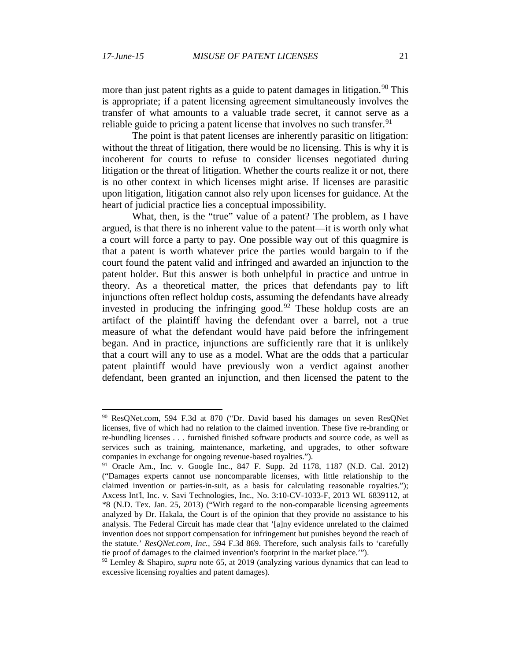more than just patent rights as a guide to patent damages in litigation.<sup>[90](#page-20-0)</sup> This is appropriate; if a patent licensing agreement simultaneously involves the transfer of what amounts to a valuable trade secret, it cannot serve as a reliable guide to pricing a patent license that involves no such transfer.<sup>[91](#page-20-1)</sup>

The point is that patent licenses are inherently parasitic on litigation: without the threat of litigation, there would be no licensing. This is why it is incoherent for courts to refuse to consider licenses negotiated during litigation or the threat of litigation. Whether the courts realize it or not, there is no other context in which licenses might arise. If licenses are parasitic upon litigation, litigation cannot also rely upon licenses for guidance. At the heart of judicial practice lies a conceptual impossibility.

What, then, is the "true" value of a patent? The problem, as I have argued, is that there is no inherent value to the patent—it is worth only what a court will force a party to pay. One possible way out of this quagmire is that a patent is worth whatever price the parties would bargain to if the court found the patent valid and infringed and awarded an injunction to the patent holder. But this answer is both unhelpful in practice and untrue in theory. As a theoretical matter, the prices that defendants pay to lift injunctions often reflect holdup costs, assuming the defendants have already invested in producing the infringing good.<sup>[92](#page-20-2)</sup> These holdup costs are an artifact of the plaintiff having the defendant over a barrel, not a true measure of what the defendant would have paid before the infringement began. And in practice, injunctions are sufficiently rare that it is unlikely that a court will any to use as a model. What are the odds that a particular patent plaintiff would have previously won a verdict against another defendant, been granted an injunction, and then licensed the patent to the

<span id="page-20-0"></span> <sup>90</sup> ResQNet.com, 594 F.3d at 870 ("Dr. David based his damages on seven ResQNet licenses, five of which had no relation to the claimed invention. These five re-branding or re-bundling licenses . . . furnished finished software products and source code, as well as services such as training, maintenance, marketing, and upgrades, to other software companies in exchange for ongoing revenue-based royalties.").

<span id="page-20-1"></span><sup>91</sup> Oracle Am., Inc. v. Google Inc., 847 F. Supp. 2d 1178, 1187 (N.D. Cal. 2012) ("Damages experts cannot use noncomparable licenses, with little relationship to the claimed invention or parties-in-suit, as a basis for calculating reasonable royalties."); Axcess Int'l, Inc. v. Savi Technologies, Inc., No. 3:10-CV-1033-F, 2013 WL 6839112, at \*8 (N.D. Tex. Jan. 25, 2013) ("With regard to the non-comparable licensing agreements analyzed by Dr. Hakala, the Court is of the opinion that they provide no assistance to his analysis. The Federal Circuit has made clear that '[a]ny evidence unrelated to the claimed invention does not support compensation for infringement but punishes beyond the reach of the statute.' *ResQNet.com, Inc.,* 594 F.3d 869. Therefore, such analysis fails to 'carefully tie proof of damages to the claimed invention's footprint in the market place.'").

<span id="page-20-2"></span><sup>92</sup> Lemley & Shapiro, *supra* note [65,](#page-13-0) at 2019 (analyzing various dynamics that can lead to excessive licensing royalties and patent damages).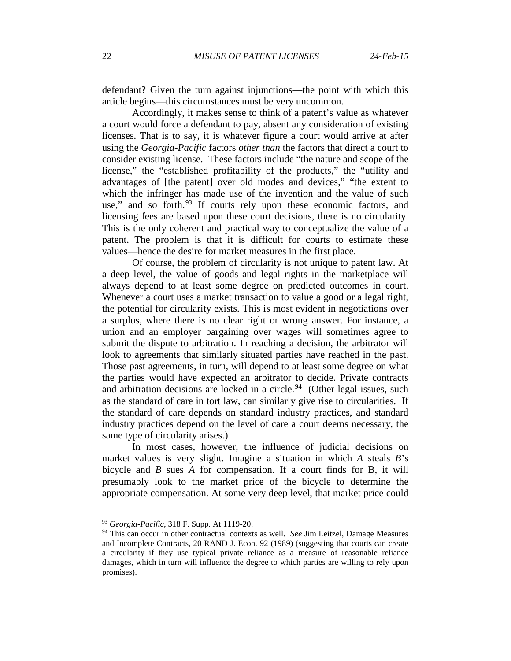defendant? Given the turn against injunctions—the point with which this article begins—this circumstances must be very uncommon.

Accordingly, it makes sense to think of a patent's value as whatever a court would force a defendant to pay, absent any consideration of existing licenses. That is to say, it is whatever figure a court would arrive at after using the *Georgia-Pacific* factors *other than* the factors that direct a court to consider existing license. These factors include "the nature and scope of the license," the "established profitability of the products," the "utility and advantages of [the patent] over old modes and devices," "the extent to which the infringer has made use of the invention and the value of such use," and so forth. $93$  If courts rely upon these economic factors, and licensing fees are based upon these court decisions, there is no circularity. This is the only coherent and practical way to conceptualize the value of a patent. The problem is that it is difficult for courts to estimate these values—hence the desire for market measures in the first place.

Of course, the problem of circularity is not unique to patent law. At a deep level, the value of goods and legal rights in the marketplace will always depend to at least some degree on predicted outcomes in court. Whenever a court uses a market transaction to value a good or a legal right, the potential for circularity exists. This is most evident in negotiations over a surplus, where there is no clear right or wrong answer. For instance, a union and an employer bargaining over wages will sometimes agree to submit the dispute to arbitration. In reaching a decision, the arbitrator will look to agreements that similarly situated parties have reached in the past. Those past agreements, in turn, will depend to at least some degree on what the parties would have expected an arbitrator to decide. Private contracts and arbitration decisions are locked in a circle.<sup>94</sup> (Other legal issues, such as the standard of care in tort law, can similarly give rise to circularities. If the standard of care depends on standard industry practices, and standard industry practices depend on the level of care a court deems necessary, the same type of circularity arises.)

In most cases, however, the influence of judicial decisions on market values is very slight. Imagine a situation in which *A* steals *B*'s bicycle and *B* sues *A* for compensation. If a court finds for B, it will presumably look to the market price of the bicycle to determine the appropriate compensation. At some very deep level, that market price could

<span id="page-21-1"></span><span id="page-21-0"></span> <sup>93</sup> *Georgia-Pacific*, 318 F. Supp. At 1119-20.

<sup>94</sup> This can occur in other contractual contexts as well. *See* Jim Leitzel, Damage Measures and Incomplete Contracts, 20 RAND J. Econ. 92 (1989) (suggesting that courts can create a circularity if they use typical private reliance as a measure of reasonable reliance damages, which in turn will influence the degree to which parties are willing to rely upon promises).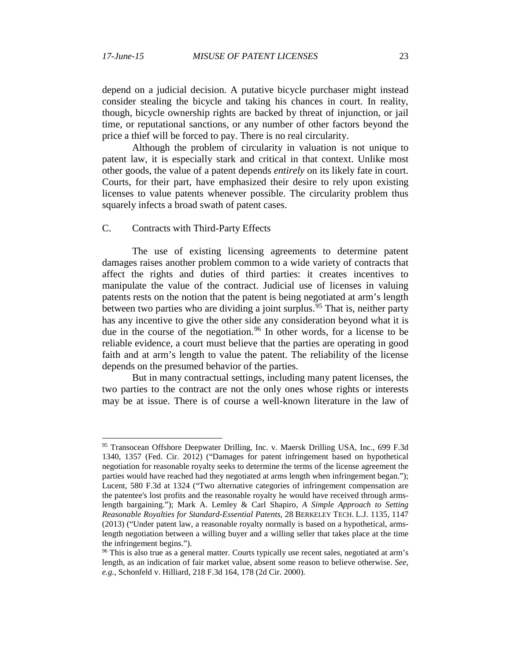depend on a judicial decision. A putative bicycle purchaser might instead consider stealing the bicycle and taking his chances in court. In reality, though, bicycle ownership rights are backed by threat of injunction, or jail time, or reputational sanctions, or any number of other factors beyond the price a thief will be forced to pay. There is no real circularity.

Although the problem of circularity in valuation is not unique to patent law, it is especially stark and critical in that context. Unlike most other goods, the value of a patent depends *entirely* on its likely fate in court. Courts, for their part, have emphasized their desire to rely upon existing licenses to value patents whenever possible. The circularity problem thus squarely infects a broad swath of patent cases.

### C. Contracts with Third-Party Effects

The use of existing licensing agreements to determine patent damages raises another problem common to a wide variety of contracts that affect the rights and duties of third parties: it creates incentives to manipulate the value of the contract. Judicial use of licenses in valuing patents rests on the notion that the patent is being negotiated at arm's length between two parties who are dividing a joint surplus.<sup>[95](#page-22-0)</sup> That is, neither party has any incentive to give the other side any consideration beyond what it is due in the course of the negotiation.<sup>[96](#page-22-1)</sup> In other words, for a license to be reliable evidence, a court must believe that the parties are operating in good faith and at arm's length to value the patent. The reliability of the license depends on the presumed behavior of the parties.

But in many contractual settings, including many patent licenses, the two parties to the contract are not the only ones whose rights or interests may be at issue. There is of course a well-known literature in the law of

<span id="page-22-0"></span><sup>&</sup>lt;sup>95</sup> Transocean Offshore Deepwater Drilling, Inc. v. Maersk Drilling USA, Inc., 699 F.3d 1340, 1357 (Fed. Cir. 2012) ("Damages for patent infringement based on hypothetical negotiation for reasonable royalty seeks to determine the terms of the license agreement the parties would have reached had they negotiated at arms length when infringement began."); Lucent, 580 F.3d at 1324 ("Two alternative categories of infringement compensation are the patentee's lost profits and the reasonable royalty he would have received through armslength bargaining."); Mark A. Lemley & Carl Shapiro, *A Simple Approach to Setting Reasonable Royalties for Standard-Essential Patents*, 28 BERKELEY TECH. L.J. 1135, 1147 (2013) ("Under patent law, a reasonable royalty normally is based on a hypothetical, armslength negotiation between a willing buyer and a willing seller that takes place at the time the infringement begins.").

<span id="page-22-1"></span><sup>&</sup>lt;sup>96</sup> This is also true as a general matter. Courts typically use recent sales, negotiated at arm's length, as an indication of fair market value, absent some reason to believe otherwise. *See, e.g.*, Schonfeld v. Hilliard, 218 F.3d 164, 178 (2d Cir. 2000).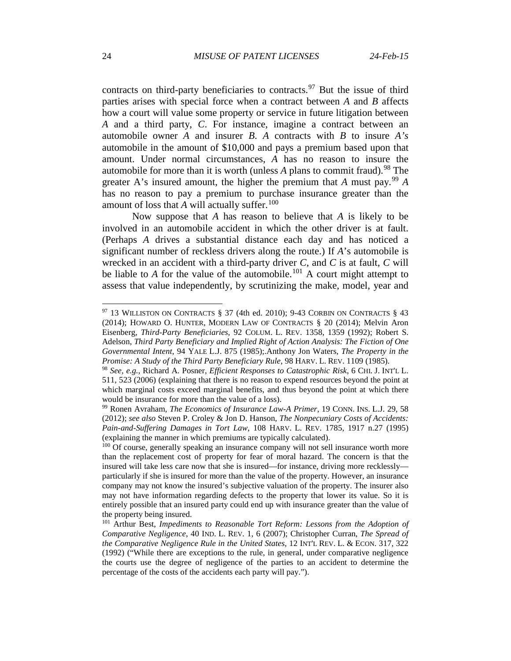contracts on third-party beneficiaries to contracts.<sup>[97](#page-23-0)</sup> But the issue of third parties arises with special force when a contract between *A* and *B* affects how a court will value some property or service in future litigation between *A* and a third party, *C*. For instance, imagine a contract between an automobile owner *A* and insurer *B*. *A* contracts with *B* to insure *A's* automobile in the amount of \$10,000 and pays a premium based upon that amount. Under normal circumstances, *A* has no reason to insure the automobile for more than it is worth (unless  $\hat{A}$  plans to commit fraud).<sup>[98](#page-23-1)</sup> The greater A's insured amount, the higher the premium that A must pay.<sup>[99](#page-23-2)</sup> A has no reason to pay a premium to purchase insurance greater than the amount of loss that *A* will actually suffer.<sup>[100](#page-23-3)</sup>

Now suppose that *A* has reason to believe that *A* is likely to be involved in an automobile accident in which the other driver is at fault. (Perhaps *A* drives a substantial distance each day and has noticed a significant number of reckless drivers along the route.) If *A*'s automobile is wrecked in an accident with a third-party driver *C*, and *C* is at fault, *C* will be liable to  $A$  for the value of the automobile.<sup>[101](#page-23-4)</sup> A court might attempt to assess that value independently, by scrutinizing the make, model, year and

<span id="page-23-0"></span> $97$  13 WILLISTON ON CONTRACTS § 37 (4th ed. 2010); 9-43 CORBIN ON CONTRACTS § 43 (2014); HOWARD O. HUNTER, MODERN LAW OF CONTRACTS § 20 (2014); Melvin Aron Eisenberg, *Third-Party Beneficiaries*, 92 COLUM. L. REV. 1358, 1359 (1992); Robert S. Adelson, *Third Party Beneficiary and Implied Right of Action Analysis: The Fiction of One Governmental Intent*, 94 YALE L.J. 875 (1985);.Anthony Jon Waters, *The Property in the Promise: A Study of the Third Party Beneficiary Rule*, 98 HARV. L. REV. 1109 (1985).

<span id="page-23-1"></span><sup>98</sup> *See, e.g.*, Richard A. Posner, *Efficient Responses to Catastrophic Risk*, 6 CHI. J. INT'L L. 511, 523 (2006) (explaining that there is no reason to expend resources beyond the point at which marginal costs exceed marginal benefits, and thus beyond the point at which there would be insurance for more than the value of a loss).

<span id="page-23-2"></span><sup>99</sup> Ronen Avraham, *The Economics of Insurance Law-A Primer*, 19 CONN. INS. L.J. 29, 58 (2012); *see also* Steven P. Croley & Jon D. Hanson, *The Nonpecuniary Costs of Accidents: Pain-and-Suffering Damages in Tort Law*, 108 HARV. L. REV. 1785, 1917 n.27 (1995) (explaining the manner in which premiums are typically calculated).

<span id="page-23-3"></span><sup>&</sup>lt;sup>100</sup> Of course, generally speaking an insurance company will not sell insurance worth more than the replacement cost of property for fear of moral hazard. The concern is that the insured will take less care now that she is insured—for instance, driving more recklessly particularly if she is insured for more than the value of the property. However, an insurance company may not know the insured's subjective valuation of the property. The insurer also may not have information regarding defects to the property that lower its value. So it is entirely possible that an insured party could end up with insurance greater than the value of the property being insured.

<span id="page-23-4"></span><sup>101</sup> Arthur Best, *Impediments to Reasonable Tort Reform: Lessons from the Adoption of Comparative Negligence*, 40 IND. L. REV. 1, 6 (2007); Christopher Curran, *The Spread of the Comparative Negligence Rule in the United States*, 12 INT'L REV. L. & ECON. 317, 322 (1992) ("While there are exceptions to the rule, in general, under comparative negligence the courts use the degree of negligence of the parties to an accident to determine the percentage of the costs of the accidents each party will pay.").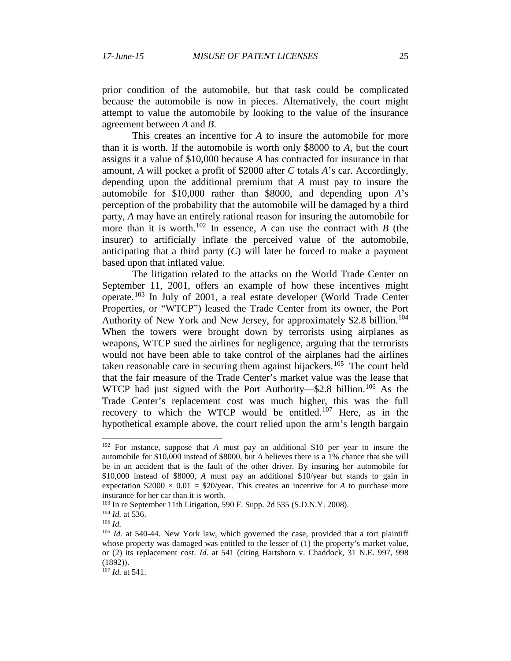prior condition of the automobile, but that task could be complicated because the automobile is now in pieces. Alternatively, the court might attempt to value the automobile by looking to the value of the insurance agreement between *A* and *B*.

This creates an incentive for *A* to insure the automobile for more than it is worth. If the automobile is worth only \$8000 to *A*, but the court assigns it a value of \$10,000 because *A* has contracted for insurance in that amount, *A* will pocket a profit of \$2000 after *C* totals *A*'s car. Accordingly, depending upon the additional premium that *A* must pay to insure the automobile for \$10,000 rather than \$8000, and depending upon *A*'s perception of the probability that the automobile will be damaged by a third party, *A* may have an entirely rational reason for insuring the automobile for more than it is worth.<sup>[102](#page-24-0)</sup> In essence, A can use the contract with *B* (the insurer) to artificially inflate the perceived value of the automobile, anticipating that a third party  $(C)$  will later be forced to make a payment based upon that inflated value.

The litigation related to the attacks on the World Trade Center on September 11, 2001, offers an example of how these incentives might operate.<sup>[103](#page-24-1)</sup> In July of 2001, a real estate developer (World Trade Center Properties, or "WTCP") leased the Trade Center from its owner, the Port Authority of New York and New Jersey, for approximately \$2.8 billion.<sup>[104](#page-24-2)</sup> When the towers were brought down by terrorists using airplanes as weapons, WTCP sued the airlines for negligence, arguing that the terrorists would not have been able to take control of the airplanes had the airlines taken reasonable care in securing them against hijackers.<sup>[105](#page-24-3)</sup> The court held that the fair measure of the Trade Center's market value was the lease that WTCP had just signed with the Port Authority—\$2.8 billion.<sup>[106](#page-24-4)</sup> As the Trade Center's replacement cost was much higher, this was the full recovery to which the WTCP would be entitled.<sup>[107](#page-24-5)</sup> Here, as in the hypothetical example above, the court relied upon the arm's length bargain

<span id="page-24-0"></span> <sup>102</sup> For instance, suppose that *<sup>A</sup>* must pay an additional \$10 per year to insure the automobile for \$10,000 instead of \$8000, but *A* believes there is a 1% chance that she will be in an accident that is the fault of the other driver. By insuring her automobile for \$10,000 instead of \$8000, *A* must pay an additional \$10/year but stands to gain in expectation  $$2000 \times 0.01 = $20$ /year. This creates an incentive for *A* to purchase more insurance for her car than it is worth.

<span id="page-24-1"></span><sup>&</sup>lt;sup>103</sup> In re September 11th Litigation, 590 F. Supp. 2d 535 (S.D.N.Y. 2008).

<span id="page-24-2"></span><sup>104</sup> *Id.* at 536.

<sup>105</sup> *Id.*

<span id="page-24-4"></span><span id="page-24-3"></span><sup>&</sup>lt;sup>106</sup> *Id.* at 540-44. New York law, which governed the case, provided that a tort plaintiff whose property was damaged was entitled to the lesser of (1) the property's market value, or (2) its replacement cost. *Id.* at 541 (citing Hartshorn v. Chaddock, 31 N.E. 997, 998 (1892)).

<span id="page-24-5"></span><sup>107</sup> *Id.* at 541.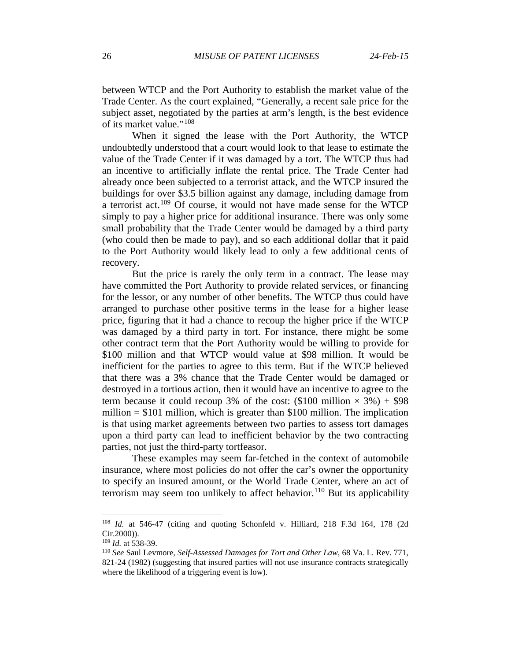between WTCP and the Port Authority to establish the market value of the Trade Center. As the court explained, "Generally, a recent sale price for the subject asset, negotiated by the parties at arm's length, is the best evidence of its market value."[108](#page-25-0)

When it signed the lease with the Port Authority, the WTCP undoubtedly understood that a court would look to that lease to estimate the value of the Trade Center if it was damaged by a tort. The WTCP thus had an incentive to artificially inflate the rental price. The Trade Center had already once been subjected to a terrorist attack, and the WTCP insured the buildings for over \$3.5 billion against any damage, including damage from a terrorist act.<sup>[109](#page-25-1)</sup> Of course, it would not have made sense for the WTCP simply to pay a higher price for additional insurance. There was only some small probability that the Trade Center would be damaged by a third party (who could then be made to pay), and so each additional dollar that it paid to the Port Authority would likely lead to only a few additional cents of recovery.

But the price is rarely the only term in a contract. The lease may have committed the Port Authority to provide related services, or financing for the lessor, or any number of other benefits. The WTCP thus could have arranged to purchase other positive terms in the lease for a higher lease price, figuring that it had a chance to recoup the higher price if the WTCP was damaged by a third party in tort. For instance, there might be some other contract term that the Port Authority would be willing to provide for \$100 million and that WTCP would value at \$98 million. It would be inefficient for the parties to agree to this term. But if the WTCP believed that there was a 3% chance that the Trade Center would be damaged or destroyed in a tortious action, then it would have an incentive to agree to the term because it could recoup 3% of the cost:  $(\$100$  million  $\times$  3%) + \$98 million  $= $101$  million, which is greater than \$100 million. The implication is that using market agreements between two parties to assess tort damages upon a third party can lead to inefficient behavior by the two contracting parties, not just the third-party tortfeasor.

These examples may seem far-fetched in the context of automobile insurance, where most policies do not offer the car's owner the opportunity to specify an insured amount, or the World Trade Center, where an act of terrorism may seem too unlikely to affect behavior.<sup>[110](#page-25-2)</sup> But its applicability

<span id="page-25-0"></span> <sup>108</sup> *Id.* at 546-47 (citing and quoting Schonfeld v. Hilliard, 218 F.3d 164, 178 (2d Cir.2000)).

<span id="page-25-1"></span><sup>109</sup> *Id.* at 538-39.

<span id="page-25-2"></span><sup>110</sup> *See* Saul Levmore, *Self-Assessed Damages for Tort and Other Law*, 68 Va. L. Rev. 771, 821-24 (1982) (suggesting that insured parties will not use insurance contracts strategically where the likelihood of a triggering event is low).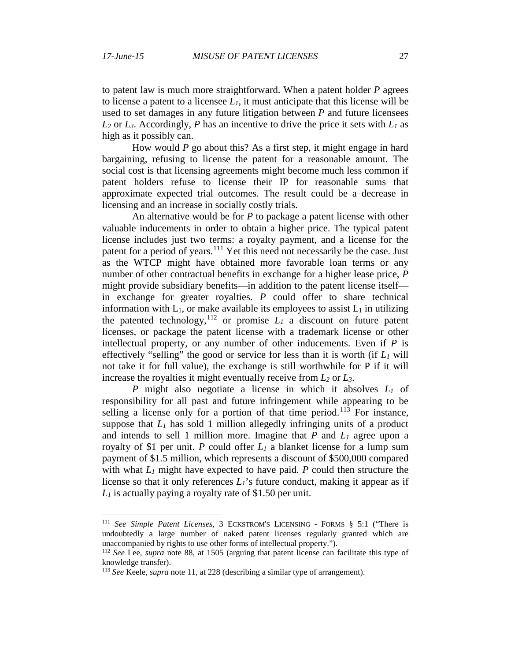to patent law is much more straightforward. When a patent holder *P* agrees to license a patent to a licensee  $L_1$ , it must anticipate that this license will be used to set damages in any future litigation between *P* and future licensees  $L_2$  or  $L_3$ . Accordingly, *P* has an incentive to drive the price it sets with  $L_1$  as high as it possibly can.

How would *P* go about this? As a first step, it might engage in hard bargaining, refusing to license the patent for a reasonable amount. The social cost is that licensing agreements might become much less common if patent holders refuse to license their IP for reasonable sums that approximate expected trial outcomes. The result could be a decrease in licensing and an increase in socially costly trials.

An alternative would be for *P* to package a patent license with other valuable inducements in order to obtain a higher price. The typical patent license includes just two terms: a royalty payment, and a license for the patent for a period of years.<sup>[111](#page-26-0)</sup> Yet this need not necessarily be the case. Just as the WTCP might have obtained more favorable loan terms or any number of other contractual benefits in exchange for a higher lease price, *P* might provide subsidiary benefits—in addition to the patent license itself in exchange for greater royalties. *P* could offer to share technical information with  $L_1$ , or make available its employees to assist  $L_1$  in utilizing the patented technology,<sup>[112](#page-26-1)</sup> or promise  $L_1$  a discount on future patent licenses, or package the patent license with a trademark license or other intellectual property, or any number of other inducements. Even if *P* is effectively "selling" the good or service for less than it is worth (if  $L_1$  will not take it for full value), the exchange is still worthwhile for P if it will increase the royalties it might eventually receive from *L2* or *L3*.

*P* might also negotiate a license in which it absolves *L1* of responsibility for all past and future infringement while appearing to be selling a license only for a portion of that time period.<sup>[113](#page-26-2)</sup> For instance, suppose that  $L_1$  has sold 1 million allegedly infringing units of a product and intends to sell 1 million more. Imagine that *P* and *L1* agree upon a royalty of \$1 per unit. *P* could offer  $L_1$  a blanket license for a lump sum payment of \$1.5 million, which represents a discount of \$500,000 compared with what  $L_1$  might have expected to have paid.  $P$  could then structure the license so that it only references  $L_1$ 's future conduct, making it appear as if *L1* is actually paying a royalty rate of \$1.50 per unit.

<span id="page-26-0"></span> <sup>111</sup> *See Simple Patent Licenses*, 3 ECKSTROM'S LICENSING - FORMS § 5:1 ("There is undoubtedly a large number of naked patent licenses regularly granted which are unaccompanied by rights to use other forms of intellectual property.").

<span id="page-26-1"></span><sup>112</sup> *See* Lee, *supra* note [88,](#page-19-6) at 1505 (arguing that patent license can facilitate this type of knowledge transfer).

<span id="page-26-2"></span><sup>113</sup> *See* Keele, *supra* note [11,](#page-2-6) at 228 (describing a similar type of arrangement).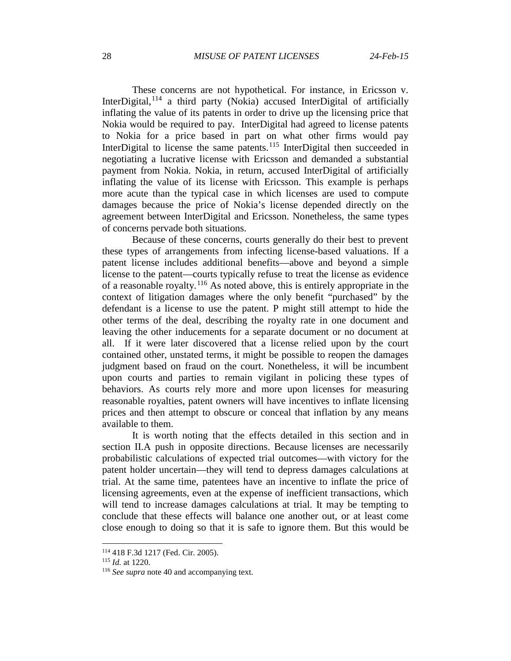These concerns are not hypothetical. For instance, in Ericsson v. InterDigital,  $114$  a third party (Nokia) accused InterDigital of artificially inflating the value of its patents in order to drive up the licensing price that Nokia would be required to pay. InterDigital had agreed to license patents to Nokia for a price based in part on what other firms would pay InterDigital to license the same patents.<sup>[115](#page-27-1)</sup> InterDigital then succeeded in negotiating a lucrative license with Ericsson and demanded a substantial payment from Nokia. Nokia, in return, accused InterDigital of artificially inflating the value of its license with Ericsson. This example is perhaps more acute than the typical case in which licenses are used to compute damages because the price of Nokia's license depended directly on the agreement between InterDigital and Ericsson. Nonetheless, the same types of concerns pervade both situations.

Because of these concerns, courts generally do their best to prevent these types of arrangements from infecting license-based valuations. If a patent license includes additional benefits—above and beyond a simple license to the patent—courts typically refuse to treat the license as evidence of a reasonable royalty.<sup>[116](#page-27-2)</sup> As noted above, this is entirely appropriate in the context of litigation damages where the only benefit "purchased" by the defendant is a license to use the patent. P might still attempt to hide the other terms of the deal, describing the royalty rate in one document and leaving the other inducements for a separate document or no document at all. If it were later discovered that a license relied upon by the court contained other, unstated terms, it might be possible to reopen the damages judgment based on fraud on the court. Nonetheless, it will be incumbent upon courts and parties to remain vigilant in policing these types of behaviors. As courts rely more and more upon licenses for measuring reasonable royalties, patent owners will have incentives to inflate licensing prices and then attempt to obscure or conceal that inflation by any means available to them.

It is worth noting that the effects detailed in this section and in section II.A push in opposite directions. Because licenses are necessarily probabilistic calculations of expected trial outcomes—with victory for the patent holder uncertain—they will tend to depress damages calculations at trial. At the same time, patentees have an incentive to inflate the price of licensing agreements, even at the expense of inefficient transactions, which will tend to increase damages calculations at trial. It may be tempting to conclude that these effects will balance one another out, or at least come close enough to doing so that it is safe to ignore them. But this would be

<span id="page-27-0"></span> <sup>114</sup> 418 F.3d 1217 (Fed. Cir. 2005).

<span id="page-27-1"></span><sup>115</sup> *Id.* at 1220.

<span id="page-27-2"></span><sup>116</sup> *See supra* note [40](#page-8-9) and accompanying text.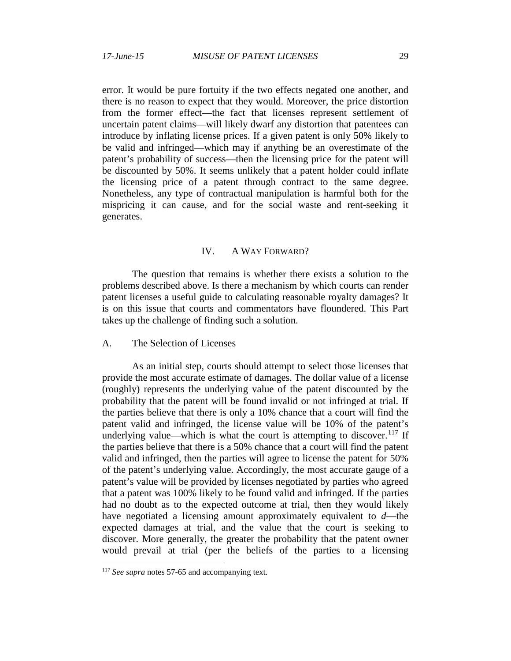error. It would be pure fortuity if the two effects negated one another, and there is no reason to expect that they would. Moreover, the price distortion from the former effect—the fact that licenses represent settlement of uncertain patent claims—will likely dwarf any distortion that patentees can introduce by inflating license prices. If a given patent is only 50% likely to be valid and infringed—which may if anything be an overestimate of the patent's probability of success—then the licensing price for the patent will be discounted by 50%. It seems unlikely that a patent holder could inflate the licensing price of a patent through contract to the same degree. Nonetheless, any type of contractual manipulation is harmful both for the mispricing it can cause, and for the social waste and rent-seeking it generates.

### IV. A WAY FORWARD?

The question that remains is whether there exists a solution to the problems described above. Is there a mechanism by which courts can render patent licenses a useful guide to calculating reasonable royalty damages? It is on this issue that courts and commentators have floundered. This Part takes up the challenge of finding such a solution.

## A. The Selection of Licenses

As an initial step, courts should attempt to select those licenses that provide the most accurate estimate of damages. The dollar value of a license (roughly) represents the underlying value of the patent discounted by the probability that the patent will be found invalid or not infringed at trial. If the parties believe that there is only a 10% chance that a court will find the patent valid and infringed, the license value will be 10% of the patent's underlying value—which is what the court is attempting to discover.<sup>[117](#page-28-0)</sup> If the parties believe that there is a 50% chance that a court will find the patent valid and infringed, then the parties will agree to license the patent for 50% of the patent's underlying value. Accordingly, the most accurate gauge of a patent's value will be provided by licenses negotiated by parties who agreed that a patent was 100% likely to be found valid and infringed. If the parties had no doubt as to the expected outcome at trial, then they would likely have negotiated a licensing amount approximately equivalent to *d*—the expected damages at trial, and the value that the court is seeking to discover. More generally, the greater the probability that the patent owner would prevail at trial (per the beliefs of the parties to a licensing

<span id="page-28-0"></span><sup>&</sup>lt;sup>117</sup> *See supra* notes 57-65 and accompanying text.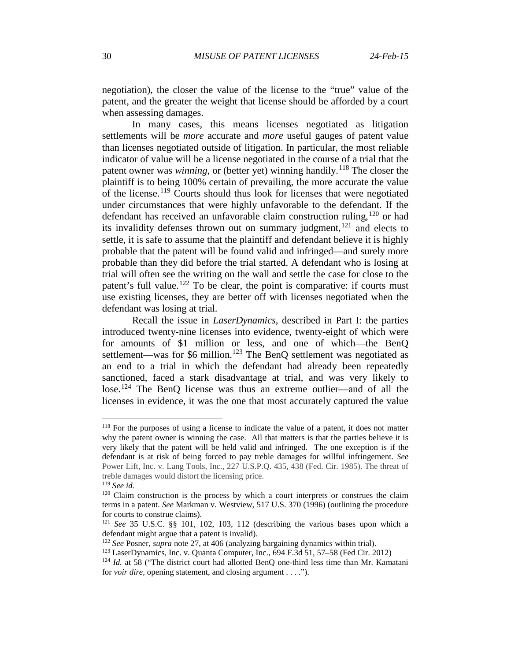negotiation), the closer the value of the license to the "true" value of the patent, and the greater the weight that license should be afforded by a court when assessing damages.

In many cases, this means licenses negotiated as litigation settlements will be *more* accurate and *more* useful gauges of patent value than licenses negotiated outside of litigation. In particular, the most reliable indicator of value will be a license negotiated in the course of a trial that the patent owner was *winning*, or (better yet) winning handily.<sup>[118](#page-29-0)</sup> The closer the plaintiff is to being 100% certain of prevailing, the more accurate the value of the license.[119](#page-29-1) Courts should thus look for licenses that were negotiated under circumstances that were highly unfavorable to the defendant. If the defendant has received an unfavorable claim construction ruling,  $120$  or had its invalidity defenses thrown out on summary judgment,<sup>[121](#page-29-3)</sup> and elects to settle, it is safe to assume that the plaintiff and defendant believe it is highly probable that the patent will be found valid and infringed—and surely more probable than they did before the trial started. A defendant who is losing at trial will often see the writing on the wall and settle the case for close to the patent's full value.<sup>[122](#page-29-4)</sup> To be clear, the point is comparative: if courts must use existing licenses, they are better off with licenses negotiated when the defendant was losing at trial.

Recall the issue in *LaserDynamics*, described in Part I: the parties introduced twenty-nine licenses into evidence, twenty-eight of which were for amounts of \$1 million or less, and one of which—the BenQ settlement—was for \$6 million.<sup>[123](#page-29-5)</sup> The BenQ settlement was negotiated as an end to a trial in which the defendant had already been repeatedly sanctioned, faced a stark disadvantage at trial, and was very likely to lose.<sup>[124](#page-29-6)</sup> The BenQ license was thus an extreme outlier—and of all the licenses in evidence, it was the one that most accurately captured the value

<span id="page-29-0"></span> $118$  For the purposes of using a license to indicate the value of a patent, it does not matter why the patent owner is winning the case. All that matters is that the parties believe it is very likely that the patent will be held valid and infringed. The one exception is if the defendant is at risk of being forced to pay treble damages for willful infringement. *See* Power Lift, Inc. v. Lang Tools, Inc., 227 U.S.P.Q. 435, 438 (Fed. Cir. 1985). The threat of treble damages would distort the licensing price.

<span id="page-29-1"></span><sup>119</sup> *See id.*

<span id="page-29-2"></span><sup>&</sup>lt;sup>120</sup> Claim construction is the process by which a court interprets or construes the claim terms in a patent. *See* Markman v. Westview, 517 U.S. 370 (1996) (outlining the procedure for courts to construe claims).

<span id="page-29-3"></span><sup>121</sup> *See* 35 U.S.C. §§ 101, 102, 103, 112 (describing the various bases upon which a defendant might argue that a patent is invalid).<br> $122 \text{ See Posner}, \text{supra note } 27$ , at 406 (analyzing bargaining dynamics within trial).

<span id="page-29-5"></span><span id="page-29-4"></span><sup>&</sup>lt;sup>123</sup> LaserDynamics, Inc. v. Quanta Computer, Inc., 694 F.3d 51, 57–58 (Fed Cir. 2012).

<span id="page-29-6"></span><sup>&</sup>lt;sup>124</sup> *Id.* at 58 ("The district court had allotted BenQ one-third less time than Mr. Kamatani for *voir dire,* opening statement, and closing argument . . . .").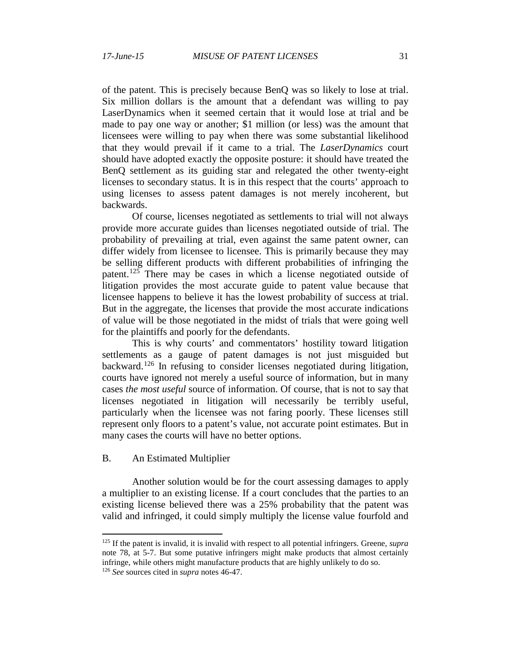of the patent. This is precisely because BenQ was so likely to lose at trial. Six million dollars is the amount that a defendant was willing to pay LaserDynamics when it seemed certain that it would lose at trial and be made to pay one way or another; \$1 million (or less) was the amount that licensees were willing to pay when there was some substantial likelihood that they would prevail if it came to a trial. The *LaserDynamics* court should have adopted exactly the opposite posture: it should have treated the BenQ settlement as its guiding star and relegated the other twenty-eight licenses to secondary status. It is in this respect that the courts' approach to using licenses to assess patent damages is not merely incoherent, but backwards.

Of course, licenses negotiated as settlements to trial will not always provide more accurate guides than licenses negotiated outside of trial. The probability of prevailing at trial, even against the same patent owner, can differ widely from licensee to licensee. This is primarily because they may be selling different products with different probabilities of infringing the patent.<sup>[125](#page-30-0)</sup> There may be cases in which a license negotiated outside of litigation provides the most accurate guide to patent value because that licensee happens to believe it has the lowest probability of success at trial. But in the aggregate, the licenses that provide the most accurate indications of value will be those negotiated in the midst of trials that were going well for the plaintiffs and poorly for the defendants.

This is why courts' and commentators' hostility toward litigation settlements as a gauge of patent damages is not just misguided but backward.<sup>[126](#page-30-1)</sup> In refusing to consider licenses negotiated during litigation, courts have ignored not merely a useful source of information, but in many cases *the most useful* source of information. Of course, that is not to say that licenses negotiated in litigation will necessarily be terribly useful, particularly when the licensee was not faring poorly. These licenses still represent only floors to a patent's value, not accurate point estimates. But in many cases the courts will have no better options.

## B. An Estimated Multiplier

Another solution would be for the court assessing damages to apply a multiplier to an existing license. If a court concludes that the parties to an existing license believed there was a 25% probability that the patent was valid and infringed, it could simply multiply the license value fourfold and

<span id="page-30-1"></span><span id="page-30-0"></span> <sup>125</sup> If the patent is invalid, it is invalid with respect to all potential infringers. Greene, *supra* note [78,](#page-17-4) at 5-7. But some putative infringers might make products that almost certainly infringe, while others might manufacture products that are highly unlikely to do so. <sup>126</sup> *See* sources cited in *supra* note[s 46-](#page-10-6)[47.](#page-10-7)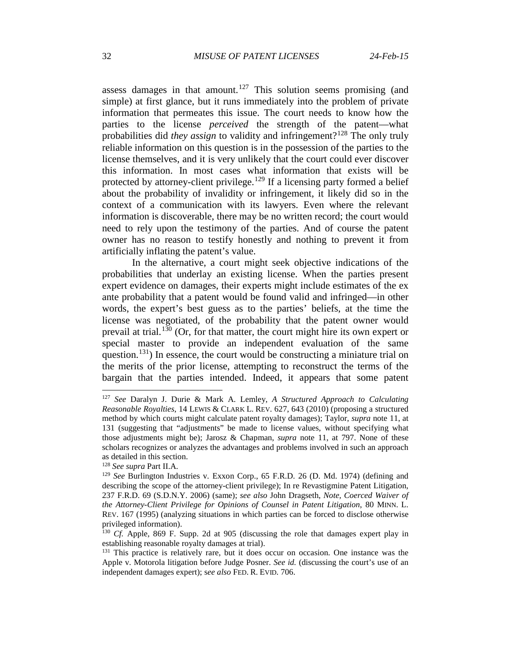assess damages in that amount.<sup>[127](#page-31-0)</sup> This solution seems promising (and simple) at first glance, but it runs immediately into the problem of private information that permeates this issue. The court needs to know how the parties to the license *perceived* the strength of the patent—what probabilities did *they assign* to validity and infringement?[128](#page-31-1) The only truly reliable information on this question is in the possession of the parties to the license themselves, and it is very unlikely that the court could ever discover this information. In most cases what information that exists will be protected by attorney-client privilege.<sup>[129](#page-31-2)</sup> If a licensing party formed a belief about the probability of invalidity or infringement, it likely did so in the context of a communication with its lawyers. Even where the relevant information is discoverable, there may be no written record; the court would need to rely upon the testimony of the parties. And of course the patent owner has no reason to testify honestly and nothing to prevent it from artificially inflating the patent's value.

In the alternative, a court might seek objective indications of the probabilities that underlay an existing license. When the parties present expert evidence on damages, their experts might include estimates of the ex ante probability that a patent would be found valid and infringed—in other words, the expert's best guess as to the parties' beliefs, at the time the license was negotiated, of the probability that the patent owner would prevail at trial.<sup>[130](#page-31-3)</sup> (Or, for that matter, the court might hire its own expert or special master to provide an independent evaluation of the same question.<sup>131</sup>) In essence, the court would be constructing a miniature trial on the merits of the prior license, attempting to reconstruct the terms of the bargain that the parties intended. Indeed, it appears that some patent

<span id="page-31-0"></span> <sup>127</sup> *See* Daralyn J. Durie & Mark A. Lemley, *A Structured Approach to Calculating Reasonable Royalties*, 14 LEWIS & CLARK L. REV. 627, 643 (2010) (proposing a structured method by which courts might calculate patent royalty damages); Taylor, *supra* note [11,](#page-2-6) at 131 (suggesting that "adjustments" be made to license values, without specifying what those adjustments might be); Jarosz & Chapman, *supra* note 11, at 797. None of these scholars recognizes or analyzes the advantages and problems involved in such an approach as detailed in this section.

<span id="page-31-1"></span><sup>128</sup> *See supra* Part II.A.

<span id="page-31-2"></span><sup>129</sup> *See* Burlington Industries v. Exxon Corp., 65 F.R.D. 26 (D. Md. 1974) (defining and describing the scope of the attorney-client privilege); In re Revastigmine Patent Litigation, 237 F.R.D. 69 (S.D.N.Y. 2006) (same); *see also* John Dragseth, *Note, Coerced Waiver of the Attorney-Client Privilege for Opinions of Counsel in Patent Litigation*, 80 MINN. L. REV. 167 (1995) (analyzing situations in which parties can be forced to disclose otherwise privileged information).

<span id="page-31-3"></span><sup>130</sup> *Cf.* Apple, 869 F. Supp. 2d at 905 (discussing the role that damages expert play in establishing reasonable royalty damages at trial).

<span id="page-31-4"></span><sup>&</sup>lt;sup>131</sup> This practice is relatively rare, but it does occur on occasion. One instance was the Apple v. Motorola litigation before Judge Posner. *See id.* (discussing the court's use of an independent damages expert); s*ee also* FED. R. EVID. 706.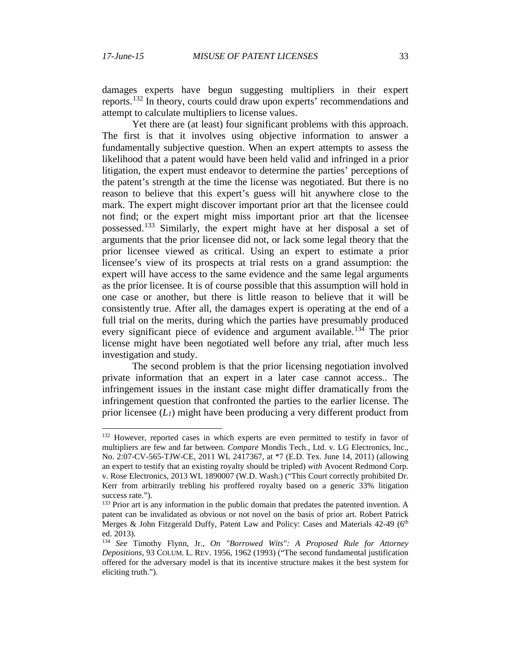damages experts have begun suggesting multipliers in their expert reports.[132](#page-32-0) In theory, courts could draw upon experts' recommendations and attempt to calculate multipliers to license values.

Yet there are (at least) four significant problems with this approach. The first is that it involves using objective information to answer a fundamentally subjective question. When an expert attempts to assess the likelihood that a patent would have been held valid and infringed in a prior litigation, the expert must endeavor to determine the parties' perceptions of the patent's strength at the time the license was negotiated. But there is no reason to believe that this expert's guess will hit anywhere close to the mark. The expert might discover important prior art that the licensee could not find; or the expert might miss important prior art that the licensee possessed.[133](#page-32-1) Similarly, the expert might have at her disposal a set of arguments that the prior licensee did not, or lack some legal theory that the prior licensee viewed as critical. Using an expert to estimate a prior licensee's view of its prospects at trial rests on a grand assumption: the expert will have access to the same evidence and the same legal arguments as the prior licensee. It is of course possible that this assumption will hold in one case or another, but there is little reason to believe that it will be consistently true. After all, the damages expert is operating at the end of a full trial on the merits, during which the parties have presumably produced every significant piece of evidence and argument available.<sup>[134](#page-32-2)</sup> The prior license might have been negotiated well before any trial, after much less investigation and study.

The second problem is that the prior licensing negotiation involved private information that an expert in a later case cannot access.. The infringement issues in the instant case might differ dramatically from the infringement question that confronted the parties to the earlier license. The prior licensee (*L1*) might have been producing a very different product from

<span id="page-32-0"></span><sup>&</sup>lt;sup>132</sup> However, reported cases in which experts are even permitted to testify in favor of multipliers are few and far between. *Compare* Mondis Tech., Ltd. v. LG Electronics, Inc., No. 2:07-CV-565-TJW-CE, 2011 WL 2417367, at \*7 (E.D. Tex. June 14, 2011) (allowing an expert to testify that an existing royalty should be tripled) *with* Avocent Redmond Corp. v. Rose Electronics, 2013 WL 1890007 (W.D. Wash.) ("This Court correctly prohibited Dr. Kerr from arbitrarily trebling his proffered royalty based on a generic 33% litigation success rate.").

<span id="page-32-1"></span><sup>&</sup>lt;sup>133</sup> Prior art is any information in the public domain that predates the patented invention. A patent can be invalidated as obvious or not novel on the basis of prior art. Robert Patrick Merges & John Fitzgerald Duffy, Patent Law and Policy: Cases and Materials 42-49 (6<sup>th</sup> ed. 2013).

<span id="page-32-2"></span><sup>134</sup> *See* Timothy Flynn, Jr., *On "Borrowed Wits": A Proposed Rule for Attorney Depositions*, 93 COLUM. L. REV. 1956, 1962 (1993) ("The second fundamental justification offered for the adversary model is that its incentive structure makes it the best system for eliciting truth.").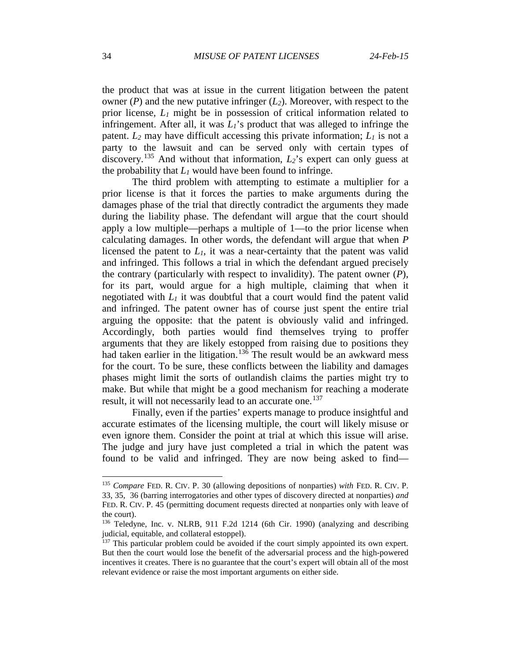the product that was at issue in the current litigation between the patent owner  $(P)$  and the new putative infringer  $(L_2)$ . Moreover, with respect to the prior license, *L1* might be in possession of critical information related to infringement. After all, it was *L1*'s product that was alleged to infringe the patent.  $L_2$  may have difficult accessing this private information;  $L_1$  is not a party to the lawsuit and can be served only with certain types of discovery.<sup>[135](#page-33-0)</sup> And without that information,  $L_2$ 's expert can only guess at the probability that  $L_1$  would have been found to infringe.

The third problem with attempting to estimate a multiplier for a prior license is that it forces the parties to make arguments during the damages phase of the trial that directly contradict the arguments they made during the liability phase. The defendant will argue that the court should apply a low multiple—perhaps a multiple of 1—to the prior license when calculating damages. In other words, the defendant will argue that when *P* licensed the patent to *L1*, it was a near-certainty that the patent was valid and infringed. This follows a trial in which the defendant argued precisely the contrary (particularly with respect to invalidity). The patent owner (*P*), for its part, would argue for a high multiple, claiming that when it negotiated with  $L_1$  it was doubtful that a court would find the patent valid and infringed. The patent owner has of course just spent the entire trial arguing the opposite: that the patent is obviously valid and infringed. Accordingly, both parties would find themselves trying to proffer arguments that they are likely estopped from raising due to positions they had taken earlier in the litigation.<sup>[136](#page-33-1)</sup> The result would be an awkward mess for the court. To be sure, these conflicts between the liability and damages phases might limit the sorts of outlandish claims the parties might try to make. But while that might be a good mechanism for reaching a moderate result, it will not necessarily lead to an accurate one.<sup>[137](#page-33-2)</sup>

Finally, even if the parties' experts manage to produce insightful and accurate estimates of the licensing multiple, the court will likely misuse or even ignore them. Consider the point at trial at which this issue will arise. The judge and jury have just completed a trial in which the patent was found to be valid and infringed. They are now being asked to find—

<span id="page-33-0"></span> <sup>135</sup> *Compare* FED. R. CIV. P. 30 (allowing depositions of nonparties) *with* FED. R. CIV. P. 33, 35, 36 (barring interrogatories and other types of discovery directed at nonparties) *and* FED. R. CIV. P. 45 (permitting document requests directed at nonparties only with leave of the court).

<span id="page-33-1"></span><sup>136</sup> Teledyne, Inc. v. NLRB, 911 F.2d 1214 (6th Cir. 1990) (analyzing and describing judicial, equitable, and collateral estoppel).

<span id="page-33-2"></span> $137$  This particular problem could be avoided if the court simply appointed its own expert. But then the court would lose the benefit of the adversarial process and the high-powered incentives it creates. There is no guarantee that the court's expert will obtain all of the most relevant evidence or raise the most important arguments on either side.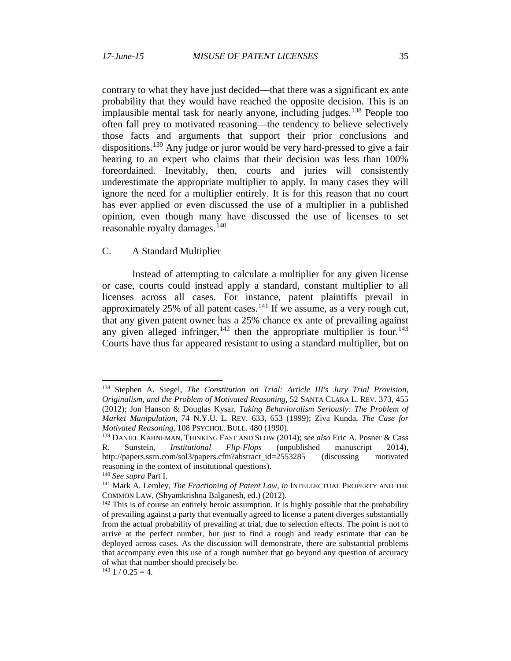contrary to what they have just decided—that there was a significant ex ante probability that they would have reached the opposite decision. This is an implausible mental task for nearly anyone, including judges.<sup>[138](#page-34-0)</sup> People too often fall prey to motivated reasoning—the tendency to believe selectively those facts and arguments that support their prior conclusions and dispositions.<sup>[139](#page-34-1)</sup> Any judge or juror would be very hard-pressed to give a fair hearing to an expert who claims that their decision was less than 100% foreordained. Inevitably, then, courts and juries will consistently underestimate the appropriate multiplier to apply. In many cases they will ignore the need for a multiplier entirely. It is for this reason that no court has ever applied or even discussed the use of a multiplier in a published opinion, even though many have discussed the use of licenses to set reasonable royalty damages. $140$ 

## C. A Standard Multiplier

Instead of attempting to calculate a multiplier for any given license or case, courts could instead apply a standard, constant multiplier to all licenses across all cases. For instance, patent plaintiffs prevail in approximately 25% of all patent cases.<sup>[141](#page-34-3)</sup> If we assume, as a very rough cut, that any given patent owner has a 25% chance ex ante of prevailing against any given alleged infringer,  $142$  then the appropriate multiplier is four.  $143$ Courts have thus far appeared resistant to using a standard multiplier, but on

<span id="page-34-0"></span> <sup>138</sup> Stephen A. Siegel, *The Constitution on Trial: Article III's Jury Trial Provision, Originalism, and the Problem of Motivated Reasoning*, 52 SANTA CLARA L. REV. 373, 455 (2012); Jon Hanson & Douglas Kysar, *Taking Behavioralism Seriously: The Problem of Market Manipulation*, 74 N.Y.U. L. REV. 633, 653 (1999); Ziva Kunda, *The Case for Motivated Reasoning*, 108 PSYCHOL. BULL. 480 (1990).

<span id="page-34-1"></span><sup>139</sup> DANIEL KAHNEMAN, THINKING FAST AND SLOW (2014); *see also* Eric A. Posner & Cass R. Sunstein, *Institutional Flip-Flops* (unpublished manuscript 2014), http://papers.ssrn.com/sol3/papers.cfm?abstract\_id=2553285 (discussing motivated reasoning in the context of institutional questions).

<span id="page-34-2"></span><sup>140</sup> *See supra* Part I.

<span id="page-34-3"></span><sup>&</sup>lt;sup>141</sup> Mark A. Lemley, *The Fractioning of Patent Law*, *in* INTELLECTUAL PROPERTY AND THE COMMON LAW*,* (Shyamkrishna Balganesh, ed.) (2012).

<span id="page-34-4"></span><sup>&</sup>lt;sup>142</sup> This is of course an entirely heroic assumption. It is highly possible that the probability of prevailing against a party that eventually agreed to license a patent diverges substantially from the actual probability of prevailing at trial, due to selection effects. The point is not to arrive at the perfect number, but just to find a rough and ready estimate that can be deployed across cases. As the discussion will demonstrate, there are substantial problems that accompany even this use of a rough number that go beyond any question of accuracy of what that number should precisely be.

<span id="page-34-5"></span> $143$  1 / 0.25 = 4.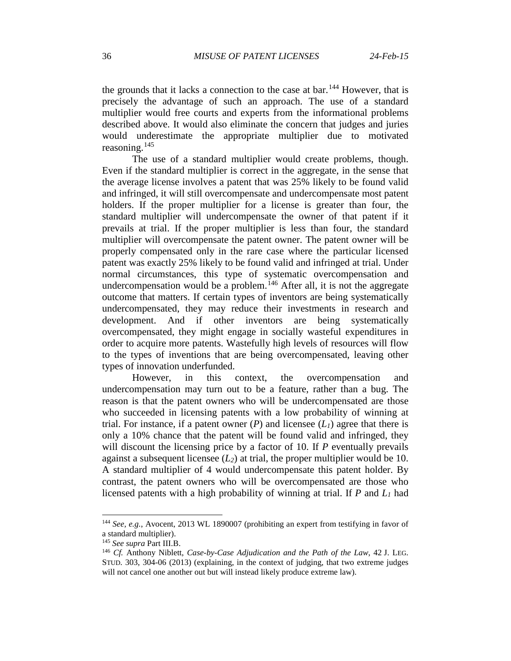the grounds that it lacks a connection to the case at bar.<sup>[144](#page-35-0)</sup> However, that is precisely the advantage of such an approach. The use of a standard multiplier would free courts and experts from the informational problems described above. It would also eliminate the concern that judges and juries would underestimate the appropriate multiplier due to motivated reasoning.<sup>[145](#page-35-1)</sup>

The use of a standard multiplier would create problems, though. Even if the standard multiplier is correct in the aggregate, in the sense that the average license involves a patent that was 25% likely to be found valid and infringed, it will still overcompensate and undercompensate most patent holders. If the proper multiplier for a license is greater than four, the standard multiplier will undercompensate the owner of that patent if it prevails at trial. If the proper multiplier is less than four, the standard multiplier will overcompensate the patent owner. The patent owner will be properly compensated only in the rare case where the particular licensed patent was exactly 25% likely to be found valid and infringed at trial. Under normal circumstances, this type of systematic overcompensation and undercompensation would be a problem.<sup>[146](#page-35-2)</sup> After all, it is not the aggregate outcome that matters. If certain types of inventors are being systematically undercompensated, they may reduce their investments in research and development. And if other inventors are being systematically overcompensated, they might engage in socially wasteful expenditures in order to acquire more patents. Wastefully high levels of resources will flow to the types of inventions that are being overcompensated, leaving other types of innovation underfunded.

However, in this context, the overcompensation and undercompensation may turn out to be a feature, rather than a bug. The reason is that the patent owners who will be undercompensated are those who succeeded in licensing patents with a low probability of winning at trial. For instance, if a patent owner  $(P)$  and licensee  $(L)$  agree that there is only a 10% chance that the patent will be found valid and infringed, they will discount the licensing price by a factor of 10. If *P* eventually prevails against a subsequent licensee  $(L_2)$  at trial, the proper multiplier would be 10. A standard multiplier of 4 would undercompensate this patent holder. By contrast, the patent owners who will be overcompensated are those who licensed patents with a high probability of winning at trial. If *P* and *L1* had

<span id="page-35-0"></span> <sup>144</sup> *See, e.g.*, Avocent, 2013 WL 1890007 (prohibiting an expert from testifying in favor of a standard multiplier).

<span id="page-35-1"></span><sup>145</sup> *See supra* Part III.B.

<span id="page-35-2"></span><sup>146</sup> *Cf.* Anthony Niblett, *Case-by-Case Adjudication and the Path of the Law*, 42 J. LEG. STUD. 303, 304-06 (2013) (explaining, in the context of judging, that two extreme judges will not cancel one another out but will instead likely produce extreme law).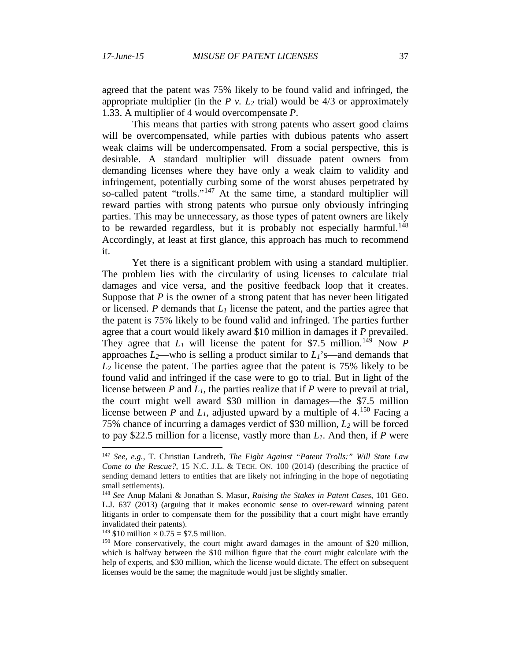agreed that the patent was 75% likely to be found valid and infringed, the appropriate multiplier (in the  $P$  v.  $L_2$  trial) would be  $4/3$  or approximately 1.33. A multiplier of 4 would overcompensate *P*.

This means that parties with strong patents who assert good claims will be overcompensated, while parties with dubious patents who assert weak claims will be undercompensated. From a social perspective, this is desirable. A standard multiplier will dissuade patent owners from demanding licenses where they have only a weak claim to validity and infringement, potentially curbing some of the worst abuses perpetrated by so-called patent "trolls."<sup>[147](#page-36-0)</sup> At the same time, a standard multiplier will reward parties with strong patents who pursue only obviously infringing parties. This may be unnecessary, as those types of patent owners are likely to be rewarded regardless, but it is probably not especially harmful.<sup>[148](#page-36-1)</sup> Accordingly, at least at first glance, this approach has much to recommend it.

<span id="page-36-4"></span>Yet there is a significant problem with using a standard multiplier. The problem lies with the circularity of using licenses to calculate trial damages and vice versa, and the positive feedback loop that it creates. Suppose that  $P$  is the owner of a strong patent that has never been litigated or licensed. *P* demands that *L1* license the patent, and the parties agree that the patent is 75% likely to be found valid and infringed. The parties further agree that a court would likely award \$10 million in damages if *P* prevailed. They agree that  $L_1$  will license the patent for \$7.5 million.<sup>[149](#page-36-2)</sup> Now *P* approaches  $L_2$ —who is selling a product similar to  $L_1$ 's—and demands that *L2* license the patent. The parties agree that the patent is 75% likely to be found valid and infringed if the case were to go to trial. But in light of the license between *P* and *L1*, the parties realize that if *P* were to prevail at trial, the court might well award \$30 million in damages—the \$7.5 million license between *P* and  $L_1$ , adjusted upward by a multiple of 4.<sup>[150](#page-36-3)</sup> Facing a 75% chance of incurring a damages verdict of \$30 million, *L2* will be forced to pay \$22.5 million for a license, vastly more than *L1*. And then, if *P* were

<span id="page-36-0"></span> <sup>147</sup> *See, e.g.*, T. Christian Landreth, *The Fight Against "Patent Trolls:" Will State Law Come to the Rescue?*, 15 N.C. J.L. & TECH. ON. 100 (2014) (describing the practice of sending demand letters to entities that are likely not infringing in the hope of negotiating small settlements).

<span id="page-36-1"></span><sup>148</sup> *See* Anup Malani & Jonathan S. Masur, *Raising the Stakes in Patent Cases*, 101 GEO. L.J. 637 (2013) (arguing that it makes economic sense to over-reward winning patent litigants in order to compensate them for the possibility that a court might have errantly invalidated their patents).

<sup>&</sup>lt;sup>149</sup> \$10 million  $\times$  0.75 = \$7.5 million.

<span id="page-36-3"></span><span id="page-36-2"></span><sup>150</sup> More conservatively, the court might award damages in the amount of \$20 million, which is halfway between the \$10 million figure that the court might calculate with the help of experts, and \$30 million, which the license would dictate. The effect on subsequent licenses would be the same; the magnitude would just be slightly smaller.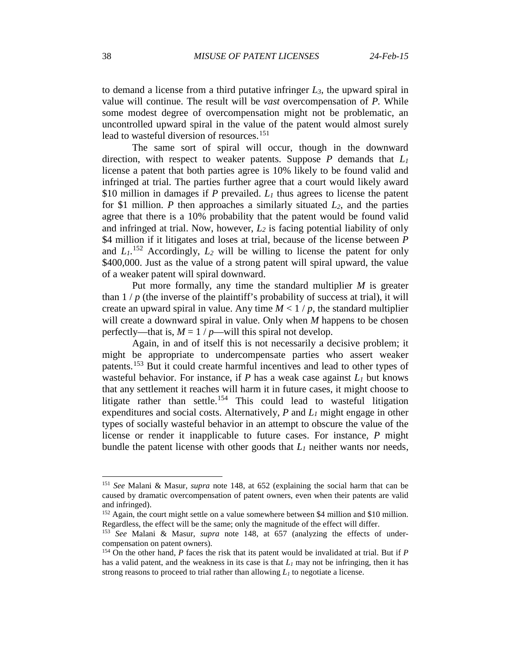to demand a license from a third putative infringer *L3*, the upward spiral in value will continue. The result will be *vast* overcompensation of *P.* While some modest degree of overcompensation might not be problematic, an uncontrolled upward spiral in the value of the patent would almost surely lead to wasteful diversion of resources.<sup>[151](#page-37-0)</sup>

The same sort of spiral will occur, though in the downward direction, with respect to weaker patents. Suppose *P* demands that *L1* license a patent that both parties agree is 10% likely to be found valid and infringed at trial. The parties further agree that a court would likely award \$10 million in damages if *P* prevailed. *L1* thus agrees to license the patent for \$1 million. *P* then approaches a similarly situated *L2*, and the parties agree that there is a 10% probability that the patent would be found valid and infringed at trial. Now, however,  $L_2$  is facing potential liability of only \$4 million if it litigates and loses at trial, because of the license between *P* and  $L_1$ <sup>[152](#page-37-1)</sup> Accordingly,  $L_2$  will be willing to license the patent for only \$400,000. Just as the value of a strong patent will spiral upward, the value of a weaker patent will spiral downward.

Put more formally, any time the standard multiplier *M* is greater than  $1/p$  (the inverse of the plaintiff's probability of success at trial), it will create an upward spiral in value. Any time  $M < 1/p$ , the standard multiplier will create a downward spiral in value. Only when *M* happens to be chosen perfectly—that is,  $M = 1 / p$ —will this spiral not develop.

Again, in and of itself this is not necessarily a decisive problem; it might be appropriate to undercompensate parties who assert weaker patents.[153](#page-37-2) But it could create harmful incentives and lead to other types of wasteful behavior. For instance, if *P* has a weak case against *L1* but knows that any settlement it reaches will harm it in future cases, it might choose to litigate rather than settle.<sup>[154](#page-37-3)</sup> This could lead to wasteful litigation expenditures and social costs. Alternatively, *P* and *L1* might engage in other types of socially wasteful behavior in an attempt to obscure the value of the license or render it inapplicable to future cases. For instance, *P* might bundle the patent license with other goods that *L1* neither wants nor needs,

<span id="page-37-0"></span> <sup>151</sup> *See* Malani & Masur, *supra* note [148,](#page-36-4) at 652 (explaining the social harm that can be caused by dramatic overcompensation of patent owners, even when their patents are valid and infringed).

<span id="page-37-1"></span><sup>&</sup>lt;sup>152</sup> Again, the court might settle on a value somewhere between \$4 million and \$10 million. Regardless, the effect will be the same; only the magnitude of the effect will differ.

<span id="page-37-2"></span><sup>153</sup> *See* Malani & Masur, *supra* note [148,](#page-36-4) at 657 (analyzing the effects of undercompensation on patent owners).

<span id="page-37-3"></span><sup>154</sup> On the other hand, *P* faces the risk that its patent would be invalidated at trial. But if *P* has a valid patent, and the weakness in its case is that  $L_1$  may not be infringing, then it has strong reasons to proceed to trial rather than allowing  $L_1$  to negotiate a license.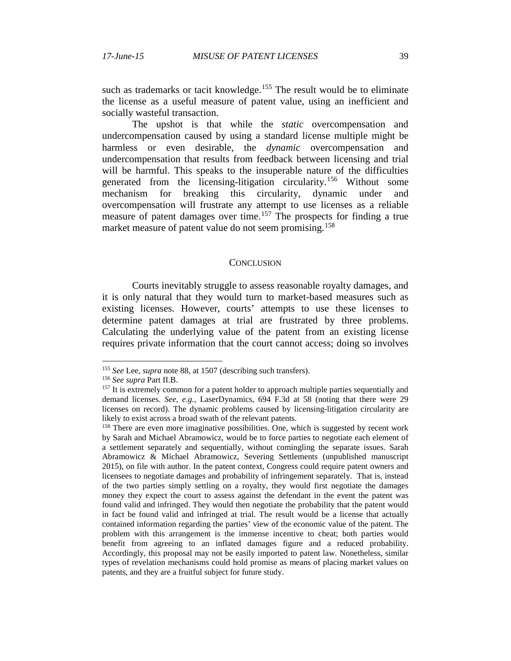such as trademarks or tacit knowledge.<sup>[155](#page-38-0)</sup> The result would be to eliminate the license as a useful measure of patent value, using an inefficient and socially wasteful transaction.

The upshot is that while the *static* overcompensation and undercompensation caused by using a standard license multiple might be harmless or even desirable, the *dynamic* overcompensation and undercompensation that results from feedback between licensing and trial will be harmful. This speaks to the insuperable nature of the difficulties generated from the licensing-litigation circularity.<sup>[156](#page-38-1)</sup> Without some mechanism for breaking this circularity, dynamic under and overcompensation will frustrate any attempt to use licenses as a reliable measure of patent damages over time.<sup>[157](#page-38-2)</sup> The prospects for finding a true market measure of patent value do not seem promising.<sup>[158](#page-38-3)</sup>

#### **CONCLUSION**

Courts inevitably struggle to assess reasonable royalty damages, and it is only natural that they would turn to market-based measures such as existing licenses. However, courts' attempts to use these licenses to determine patent damages at trial are frustrated by three problems. Calculating the underlying value of the patent from an existing license requires private information that the court cannot access; doing so involves

<span id="page-38-0"></span> <sup>155</sup> *See* Lee, *supra* note [88,](#page-19-6) at 1507 (describing such transfers).

<span id="page-38-1"></span><sup>156</sup> *See supra* Part II.B.

<span id="page-38-2"></span><sup>&</sup>lt;sup>157</sup> It is extremely common for a patent holder to approach multiple parties sequentially and demand licenses. *See, e.g.*, LaserDynamics, 694 F.3d at 58 (noting that there were 29 licenses on record). The dynamic problems caused by licensing-litigation circularity are likely to exist across a broad swath of the relevant patents.

<span id="page-38-3"></span><sup>&</sup>lt;sup>158</sup> There are even more imaginative possibilities. One, which is suggested by recent work by Sarah and Michael Abramowicz, would be to force parties to negotiate each element of a settlement separately and sequentially, without comingling the separate issues. Sarah Abramowicz & Michael Abramowicz, Severing Settlements (unpublished manuscript 2015), on file with author. In the patent context, Congress could require patent owners and licensees to negotiate damages and probability of infringement separately. That is, instead of the two parties simply settling on a royalty, they would first negotiate the damages money they expect the court to assess against the defendant in the event the patent was found valid and infringed. They would then negotiate the probability that the patent would in fact be found valid and infringed at trial. The result would be a license that actually contained information regarding the parties' view of the economic value of the patent. The problem with this arrangement is the immense incentive to cheat; both parties would benefit from agreeing to an inflated damages figure and a reduced probability. Accordingly, this proposal may not be easily imported to patent law. Nonetheless, similar types of revelation mechanisms could hold promise as means of placing market values on patents, and they are a fruitful subject for future study.